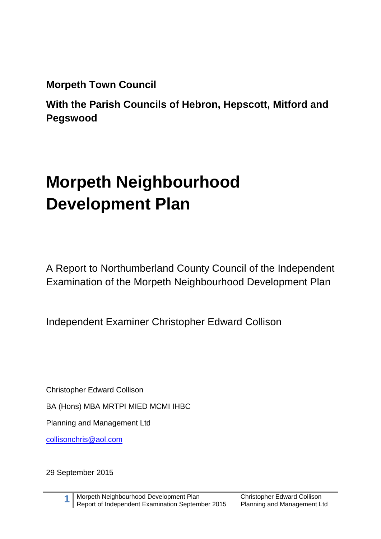**Morpeth Town Council**

**With the Parish Councils of Hebron, Hepscott, Mitford and Pegswood**

# **Morpeth Neighbourhood Development Plan**

A Report to Northumberland County Council of the Independent Examination of the Morpeth Neighbourhood Development Plan

Independent Examiner Christopher Edward Collison

Christopher Edward Collison

BA (Hons) MBA MRTPI MIED MCMI IHBC

Planning and Management Ltd

[collisonchris@aol.com](mailto:collisonchris@aol.com)

29 September 2015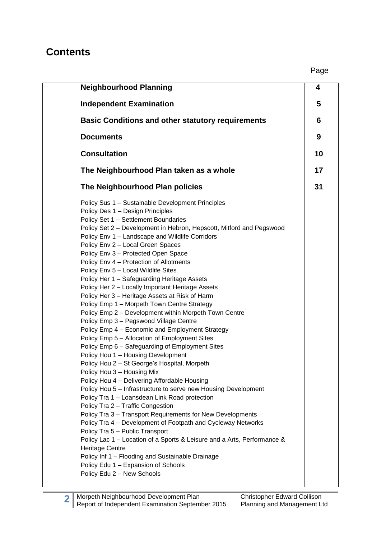#### **Contents**

| <b>Neighbourhood Planning</b>                                                                                                                                                                                                                                                                                                                                                                                                                                                                                                                                                                                                                                                                                                                                                                                                                                                                                                                                                                                                                                                                                                                                                                                                                                                                                                                                                                                                                                                                                                                                                                                   | 4  |  |
|-----------------------------------------------------------------------------------------------------------------------------------------------------------------------------------------------------------------------------------------------------------------------------------------------------------------------------------------------------------------------------------------------------------------------------------------------------------------------------------------------------------------------------------------------------------------------------------------------------------------------------------------------------------------------------------------------------------------------------------------------------------------------------------------------------------------------------------------------------------------------------------------------------------------------------------------------------------------------------------------------------------------------------------------------------------------------------------------------------------------------------------------------------------------------------------------------------------------------------------------------------------------------------------------------------------------------------------------------------------------------------------------------------------------------------------------------------------------------------------------------------------------------------------------------------------------------------------------------------------------|----|--|
| <b>Independent Examination</b>                                                                                                                                                                                                                                                                                                                                                                                                                                                                                                                                                                                                                                                                                                                                                                                                                                                                                                                                                                                                                                                                                                                                                                                                                                                                                                                                                                                                                                                                                                                                                                                  | 5  |  |
| <b>Basic Conditions and other statutory requirements</b>                                                                                                                                                                                                                                                                                                                                                                                                                                                                                                                                                                                                                                                                                                                                                                                                                                                                                                                                                                                                                                                                                                                                                                                                                                                                                                                                                                                                                                                                                                                                                        | 6  |  |
| <b>Documents</b>                                                                                                                                                                                                                                                                                                                                                                                                                                                                                                                                                                                                                                                                                                                                                                                                                                                                                                                                                                                                                                                                                                                                                                                                                                                                                                                                                                                                                                                                                                                                                                                                | 9  |  |
| <b>Consultation</b>                                                                                                                                                                                                                                                                                                                                                                                                                                                                                                                                                                                                                                                                                                                                                                                                                                                                                                                                                                                                                                                                                                                                                                                                                                                                                                                                                                                                                                                                                                                                                                                             | 10 |  |
| The Neighbourhood Plan taken as a whole                                                                                                                                                                                                                                                                                                                                                                                                                                                                                                                                                                                                                                                                                                                                                                                                                                                                                                                                                                                                                                                                                                                                                                                                                                                                                                                                                                                                                                                                                                                                                                         | 17 |  |
| The Neighbourhood Plan policies                                                                                                                                                                                                                                                                                                                                                                                                                                                                                                                                                                                                                                                                                                                                                                                                                                                                                                                                                                                                                                                                                                                                                                                                                                                                                                                                                                                                                                                                                                                                                                                 | 31 |  |
| Policy Sus 1 - Sustainable Development Principles<br>Policy Des 1 - Design Principles<br>Policy Set 1 - Settlement Boundaries<br>Policy Set 2 - Development in Hebron, Hepscott, Mitford and Pegswood<br>Policy Env 1 - Landscape and Wildlife Corridors<br>Policy Env 2 - Local Green Spaces<br>Policy Env 3 - Protected Open Space<br>Policy Env 4 - Protection of Allotments<br>Policy Env 5 - Local Wildlife Sites<br>Policy Her 1 - Safeguarding Heritage Assets<br>Policy Her 2 - Locally Important Heritage Assets<br>Policy Her 3 - Heritage Assets at Risk of Harm<br>Policy Emp 1 - Morpeth Town Centre Strategy<br>Policy Emp 2 - Development within Morpeth Town Centre<br>Policy Emp 3 - Pegswood Village Centre<br>Policy Emp 4 - Economic and Employment Strategy<br>Policy Emp 5 - Allocation of Employment Sites<br>Policy Emp 6 - Safeguarding of Employment Sites<br>Policy Hou 1 - Housing Development<br>Policy Hou 2 - St George's Hospital, Morpeth<br>Policy Hou 3 - Housing Mix<br>Policy Hou 4 - Delivering Affordable Housing<br>Policy Hou 5 - Infrastructure to serve new Housing Development<br>Policy Tra 1 - Loansdean Link Road protection<br>Policy Tra 2 - Traffic Congestion<br>Policy Tra 3 - Transport Requirements for New Developments<br>Policy Tra 4 – Development of Footpath and Cycleway Networks<br>Policy Tra 5 - Public Transport<br>Policy Lac 1 – Location of a Sports & Leisure and a Arts, Performance &<br><b>Heritage Centre</b><br>Policy Inf 1 - Flooding and Sustainable Drainage<br>Policy Edu 1 - Expansion of Schools<br>Policy Edu 2 - New Schools |    |  |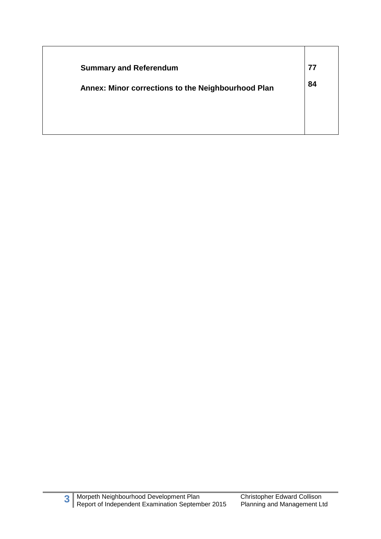| <b>Summary and Referendum</b>                      | 77 |
|----------------------------------------------------|----|
| Annex: Minor corrections to the Neighbourhood Plan | 84 |
|                                                    |    |
|                                                    |    |
|                                                    |    |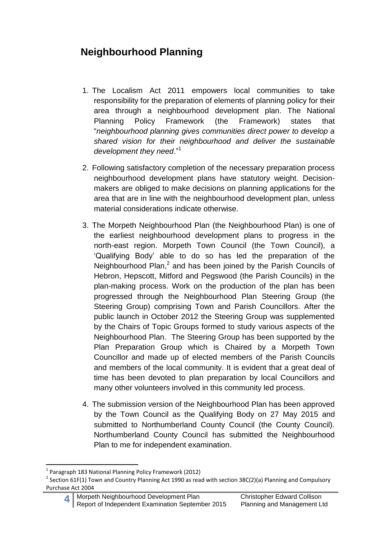# **Neighbourhood Planning**

- 1. The Localism Act 2011 empowers local communities to take responsibility for the preparation of elements of planning policy for their area through a neighbourhood development plan. The National Planning Policy Framework (the Framework) states that "*neighbourhood planning gives communities direct power to develop a shared vision for their neighbourhood and deliver the sustainable development they need*."<sup>1</sup>
- 2. Following satisfactory completion of the necessary preparation process neighbourhood development plans have statutory weight. Decisionmakers are obliged to make decisions on planning applications for the area that are in line with the neighbourhood development plan, unless material considerations indicate otherwise.
- 3. The Morpeth Neighbourhood Plan (the Neighbourhood Plan) is one of the earliest neighbourhood development plans to progress in the north-east region. Morpeth Town Council (the Town Council), a 'Qualifying Body' able to do so has led the preparation of the Neighbourhood Plan, $^2$  and has been joined by the Parish Councils of Hebron, Hepscott, Mitford and Pegswood (the Parish Councils) in the plan-making process. Work on the production of the plan has been progressed through the Neighbourhood Plan Steering Group (the Steering Group) comprising Town and Parish Councillors. After the public launch in October 2012 the Steering Group was supplemented by the Chairs of Topic Groups formed to study various aspects of the Neighbourhood Plan. The Steering Group has been supported by the Plan Preparation Group which is Chaired by a Morpeth Town Councillor and made up of elected members of the Parish Councils and members of the local community. It is evident that a great deal of time has been devoted to plan preparation by local Councillors and many other volunteers involved in this community led process.
- 4. The submission version of the Neighbourhood Plan has been approved by the Town Council as the Qualifying Body on 27 May 2015 and submitted to Northumberland County Council (the County Council). Northumberland County Council has submitted the Neighbourhood Plan to me for independent examination.

**<sup>.</sup>** 1 Paragraph 183 National Planning Policy Framework (2012)

<sup>&</sup>lt;sup>2</sup> Section 61F(1) Town and Country Planning Act 1990 as read with section 38C(2)(a) Planning and Compulsory Purchase Act 2004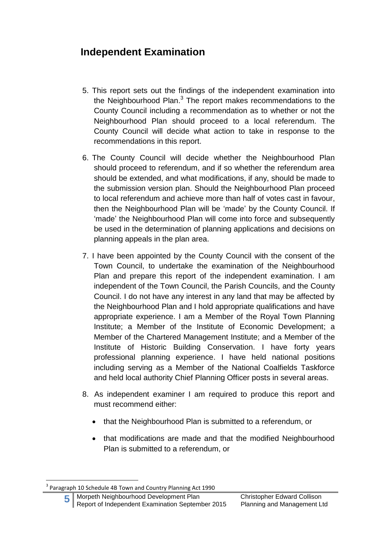#### **Independent Examination**

- 5. This report sets out the findings of the independent examination into the Neighbourhood Plan.<sup>3</sup> The report makes recommendations to the County Council including a recommendation as to whether or not the Neighbourhood Plan should proceed to a local referendum. The County Council will decide what action to take in response to the recommendations in this report.
- 6. The County Council will decide whether the Neighbourhood Plan should proceed to referendum, and if so whether the referendum area should be extended, and what modifications, if any, should be made to the submission version plan. Should the Neighbourhood Plan proceed to local referendum and achieve more than half of votes cast in favour, then the Neighbourhood Plan will be 'made' by the County Council. If 'made' the Neighbourhood Plan will come into force and subsequently be used in the determination of planning applications and decisions on planning appeals in the plan area.
- 7. I have been appointed by the County Council with the consent of the Town Council, to undertake the examination of the Neighbourhood Plan and prepare this report of the independent examination. I am independent of the Town Council, the Parish Councils, and the County Council. I do not have any interest in any land that may be affected by the Neighbourhood Plan and I hold appropriate qualifications and have appropriate experience. I am a Member of the Royal Town Planning Institute; a Member of the Institute of Economic Development; a Member of the Chartered Management Institute; and a Member of the Institute of Historic Building Conservation. I have forty years professional planning experience. I have held national positions including serving as a Member of the National Coalfields Taskforce and held local authority Chief Planning Officer posts in several areas.
- 8. As independent examiner I am required to produce this report and must recommend either:
	- that the Neighbourhood Plan is submitted to a referendum, or
	- that modifications are made and that the modified Neighbourhood Plan is submitted to a referendum, or

1

<sup>3</sup> Paragraph 10 Schedule 4B Town and Country Planning Act 1990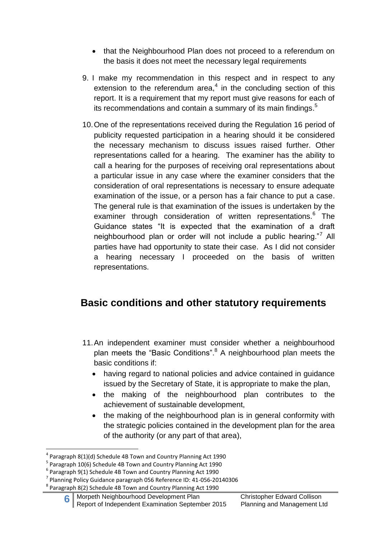- that the Neighbourhood Plan does not proceed to a referendum on the basis it does not meet the necessary legal requirements
- 9. I make my recommendation in this respect and in respect to any extension to the referendum area, $4$  in the concluding section of this report. It is a requirement that my report must give reasons for each of its recommendations and contain a summary of its main findings.<sup>5</sup>
- 10.One of the representations received during the Regulation 16 period of publicity requested participation in a hearing should it be considered the necessary mechanism to discuss issues raised further. Other representations called for a hearing. The examiner has the ability to call a hearing for the purposes of receiving oral representations about a particular issue in any case where the examiner considers that the consideration of oral representations is necessary to ensure adequate examination of the issue, or a person has a fair chance to put a case. The general rule is that examination of the issues is undertaken by the examiner through consideration of written representations.<sup>6</sup> The Guidance states "It is expected that the examination of a draft neighbourhood plan or order will not include a public hearing."<sup>7</sup> All parties have had opportunity to state their case. As I did not consider a hearing necessary I proceeded on the basis of written representations.

#### **Basic conditions and other statutory requirements**

- 11.An independent examiner must consider whether a neighbourhood plan meets the "Basic Conditions".<sup>8</sup> A neighbourhood plan meets the basic conditions if:
	- having regard to national policies and advice contained in guidance issued by the Secretary of State, it is appropriate to make the plan,
	- the making of the neighbourhood plan contributes to the achievement of sustainable development,
	- the making of the neighbourhood plan is in general conformity with the strategic policies contained in the development plan for the area of the authority (or any part of that area),

<sup>&</sup>lt;sup>4</sup> Paragraph 8(1)(d) Schedule 4B Town and Country Planning Act 1990

<sup>5</sup> Paragraph 10(6) Schedule 4B Town and Country Planning Act 1990

<sup>6</sup> Paragraph 9(1) Schedule 4B Town and Country Planning Act 1990

 $^7$  Planning Policy Guidance paragraph 056 Reference ID: 41-056-20140306

<sup>&</sup>lt;sup>8</sup> Paragraph 8(2) Schedule 4B Town and Country Planning Act 1990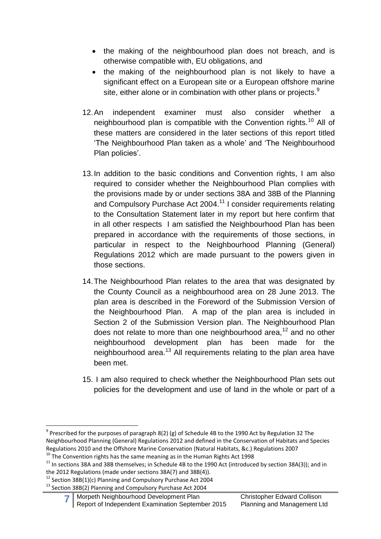- the making of the neighbourhood plan does not breach, and is otherwise compatible with, EU obligations, and
- the making of the neighbourhood plan is not likely to have a significant effect on a European site or a European offshore marine site, either alone or in combination with other plans or projects. $9$
- 12.An independent examiner must also consider whether a neighbourhood plan is compatible with the Convention rights.<sup>10</sup> All of these matters are considered in the later sections of this report titled 'The Neighbourhood Plan taken as a whole' and 'The Neighbourhood Plan policies'.
- 13.In addition to the basic conditions and Convention rights, I am also required to consider whether the Neighbourhood Plan complies with the provisions made by or under sections 38A and 38B of the Planning and Compulsory Purchase Act 2004.<sup>11</sup> I consider requirements relating to the Consultation Statement later in my report but here confirm that in all other respects I am satisfied the Neighbourhood Plan has been prepared in accordance with the requirements of those sections, in particular in respect to the Neighbourhood Planning (General) Regulations 2012 which are made pursuant to the powers given in those sections.
- 14.The Neighbourhood Plan relates to the area that was designated by the County Council as a neighbourhood area on 28 June 2013. The plan area is described in the Foreword of the Submission Version of the Neighbourhood Plan. A map of the plan area is included in Section 2 of the Submission Version plan. The Neighbourhood Plan does not relate to more than one neighbourhood area,<sup>12</sup> and no other neighbourhood development plan has been made for the neighbourhood area.<sup>13</sup> All requirements relating to the plan area have been met.
- 15. I am also required to check whether the Neighbourhood Plan sets out policies for the development and use of land in the whole or part of a

```
<sup>10</sup> The Convention rights has the same meaning as in the Human Rights Act 1998
```
1

 $^9$  Prescribed for the purposes of paragraph 8(2) (g) of Schedule 4B to the 1990 Act by Regulation 32 The Neighbourhood Planning (General) Regulations 2012 and defined in the Conservation of Habitats and Species Regulations 2010 and the Offshore Marine Conservation (Natural Habitats, &c.) Regulations 2007

 $11$  In sections 38A and 38B themselves; in Schedule 4B to the 1990 Act (introduced by section 38A(3)); and in the 2012 Regulations (made under sections 38A(7) and 38B(4)).

<sup>&</sup>lt;sup>12</sup> Section 38B(1)(c) Planning and Compulsory Purchase Act 2004

<sup>&</sup>lt;sup>13</sup> Section 38B(2) Planning and Compulsory Purchase Act 2004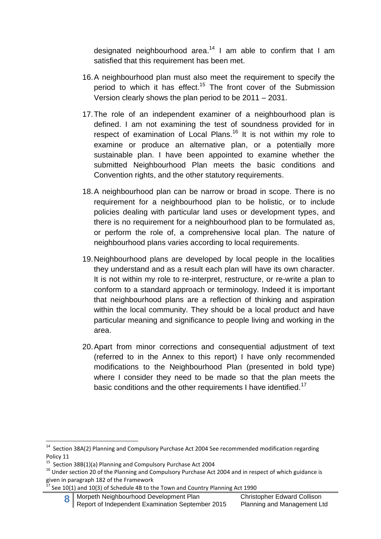designated neighbourhood area.<sup>14</sup> I am able to confirm that I am satisfied that this requirement has been met.

- 16.A neighbourhood plan must also meet the requirement to specify the period to which it has effect.<sup>15</sup> The front cover of the Submission Version clearly shows the plan period to be 2011 – 2031.
- 17.The role of an independent examiner of a neighbourhood plan is defined. I am not examining the test of soundness provided for in respect of examination of Local Plans.<sup>16</sup> It is not within my role to examine or produce an alternative plan, or a potentially more sustainable plan. I have been appointed to examine whether the submitted Neighbourhood Plan meets the basic conditions and Convention rights, and the other statutory requirements.
- 18.A neighbourhood plan can be narrow or broad in scope. There is no requirement for a neighbourhood plan to be holistic, or to include policies dealing with particular land uses or development types, and there is no requirement for a neighbourhood plan to be formulated as, or perform the role of, a comprehensive local plan. The nature of neighbourhood plans varies according to local requirements.
- 19.Neighbourhood plans are developed by local people in the localities they understand and as a result each plan will have its own character. It is not within my role to re-interpret, restructure, or re-write a plan to conform to a standard approach or terminology. Indeed it is important that neighbourhood plans are a reflection of thinking and aspiration within the local community. They should be a local product and have particular meaning and significance to people living and working in the area.
- 20.Apart from minor corrections and consequential adjustment of text (referred to in the Annex to this report) I have only recommended modifications to the Neighbourhood Plan (presented in bold type) where I consider they need to be made so that the plan meets the basic conditions and the other requirements I have identified.<sup>17</sup>

**8** Morpeth Neighbourhood Development Plan Christopher Edward Collison Report of Independent Examination September 2015 Planning and Management Ltd

 14 Section 38A(2) Planning and Compulsory Purchase Act 2004 See recommended modification regarding Policy 11

<sup>&</sup>lt;sup>15</sup> Section 38B(1)(a) Planning and Compulsory Purchase Act 2004

<sup>&</sup>lt;sup>16</sup> Under section 20 of the Planning and Compulsory Purchase Act 2004 and in respect of which guidance is given in paragraph 182 of the Framework

 $17$  See 10(1) and 10(3) of Schedule 4B to the Town and Country Planning Act 1990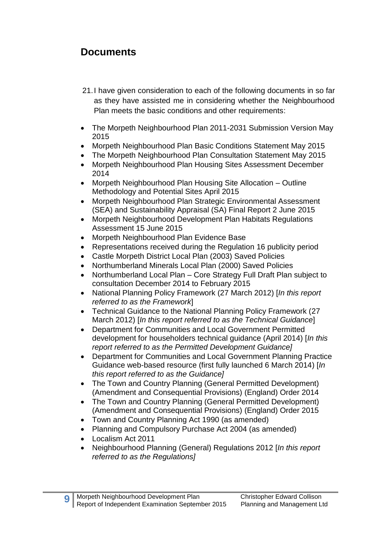#### **Documents**

- 21.I have given consideration to each of the following documents in so far as they have assisted me in considering whether the Neighbourhood Plan meets the basic conditions and other requirements:
- The Morpeth Neighbourhood Plan 2011-2031 Submission Version May 2015
- Morpeth Neighbourhood Plan Basic Conditions Statement May 2015
- The Morpeth Neighbourhood Plan Consultation Statement May 2015
- Morpeth Neighbourhood Plan Housing Sites Assessment December 2014
- Morpeth Neighbourhood Plan Housing Site Allocation Outline Methodology and Potential Sites April 2015
- Morpeth Neighbourhood Plan Strategic Environmental Assessment (SEA) and Sustainability Appraisal (SA) Final Report 2 June 2015
- Morpeth Neighbourhood Development Plan Habitats Regulations Assessment 15 June 2015
- Morpeth Neighbourhood Plan Evidence Base
- Representations received during the Regulation 16 publicity period
- Castle Morpeth District Local Plan (2003) Saved Policies
- Northumberland Minerals Local Plan (2000) Saved Policies
- Northumberland Local Plan Core Strategy Full Draft Plan subject to consultation December 2014 to February 2015
- National Planning Policy Framework (27 March 2012) [*In this report referred to as the Framework*]
- Technical Guidance to the National Planning Policy Framework (27 March 2012) [*In this report referred to as the Technical Guidance*]
- Department for Communities and Local Government Permitted development for householders technical guidance (April 2014) [*In this report referred to as the Permitted Development Guidance]*
- Department for Communities and Local Government Planning Practice Guidance web-based resource (first fully launched 6 March 2014) [*In this report referred to as the Guidance]*
- The Town and Country Planning (General Permitted Development) (Amendment and Consequential Provisions) (England) Order 2014
- The Town and Country Planning (General Permitted Development) (Amendment and Consequential Provisions) (England) Order 2015
- Town and Country Planning Act 1990 (as amended)
- Planning and Compulsory Purchase Act 2004 (as amended)
- Localism Act 2011

**9**

 Neighbourhood Planning (General) Regulations 2012 [*In this report referred to as the Regulations]*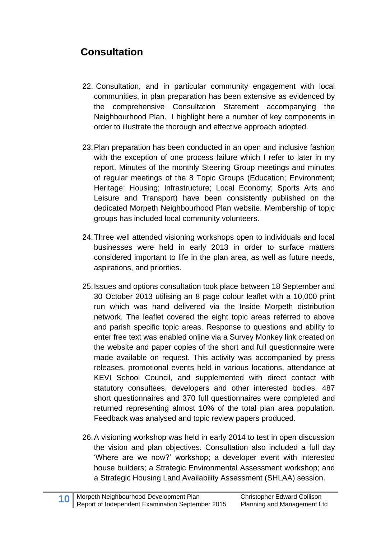## **Consultation**

- 22. Consultation, and in particular community engagement with local communities, in plan preparation has been extensive as evidenced by the comprehensive Consultation Statement accompanying the Neighbourhood Plan. I highlight here a number of key components in order to illustrate the thorough and effective approach adopted.
- 23.Plan preparation has been conducted in an open and inclusive fashion with the exception of one process failure which I refer to later in my report. Minutes of the monthly Steering Group meetings and minutes of regular meetings of the 8 Topic Groups (Education; Environment; Heritage; Housing; Infrastructure; Local Economy; Sports Arts and Leisure and Transport) have been consistently published on the dedicated Morpeth Neighbourhood Plan website. Membership of topic groups has included local community volunteers.
- 24.Three well attended visioning workshops open to individuals and local businesses were held in early 2013 in order to surface matters considered important to life in the plan area, as well as future needs, aspirations, and priorities.
- 25.Issues and options consultation took place between 18 September and 30 October 2013 utilising an 8 page colour leaflet with a 10,000 print run which was hand delivered via the Inside Morpeth distribution network. The leaflet covered the eight topic areas referred to above and parish specific topic areas. Response to questions and ability to enter free text was enabled online via a Survey Monkey link created on the website and paper copies of the short and full questionnaire were made available on request. This activity was accompanied by press releases, promotional events held in various locations, attendance at KEVI School Council, and supplemented with direct contact with statutory consultees, developers and other interested bodies. 487 short questionnaires and 370 full questionnaires were completed and returned representing almost 10% of the total plan area population. Feedback was analysed and topic review papers produced.
- 26.A visioning workshop was held in early 2014 to test in open discussion the vision and plan objectives. Consultation also included a full day 'Where are we now?' workshop; a developer event with interested house builders; a Strategic Environmental Assessment workshop; and a Strategic Housing Land Availability Assessment (SHLAA) session.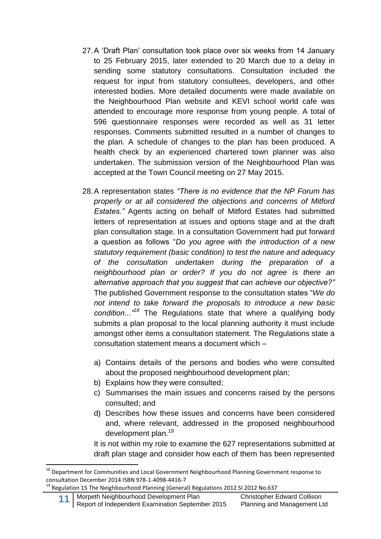- 27.A 'Draft Plan' consultation took place over six weeks from 14 January to 25 February 2015, later extended to 20 March due to a delay in sending some statutory consultations. Consultation included the request for input from statutory consultees, developers, and other interested bodies. More detailed documents were made available on the Neighbourhood Plan website and KEVI school world cafe was attended to encourage more response from young people. A total of 596 questionnaire responses were recorded as well as 31 letter responses. Comments submitted resulted in a number of changes to the plan. A schedule of changes to the plan has been produced. A health check by an experienced chartered town planner was also undertaken. The submission version of the Neighbourhood Plan was accepted at the Town Council meeting on 27 May 2015.
- 28.A representation states *"There is no evidence that the NP Forum has properly or at all considered the objections and concerns of Mitford Estates."* Agents acting on behalf of Mitford Estates had submitted letters of representation at issues and options stage and at the draft plan consultation stage. In a consultation Government had put forward a question as follows "*Do you agree with the introduction of a new statutory requirement (basic condition) to test the nature and adequacy of the consultation undertaken during the preparation of a neighbourhood plan or order? If you do not agree is there an alternative approach that you suggest that can achieve our objective?"* The published Government response to the consultation states "*We do not intend to take forward the proposals to introduce a new basic condition..."<sup>18</sup>* The Regulations state that where a qualifying body submits a plan proposal to the local planning authority it must include amongst other items a consultation statement. The Regulations state a consultation statement means a document which –
	- a) Contains details of the persons and bodies who were consulted about the proposed neighbourhood development plan;
	- b) Explains how they were consulted;
	- c) Summarises the main issues and concerns raised by the persons consulted; and
	- d) Describes how these issues and concerns have been considered and, where relevant, addressed in the proposed neighbourhood development plan.<sup>19</sup>

It is not within my role to examine the 627 representations submitted at draft plan stage and consider how each of them has been represented

<sup>&</sup>lt;sup>18</sup> Department for Communities and Local Government Neighbourhood Planning Government response to consultation December 2014 ISBN 978-1-4098-4416-7

<sup>&</sup>lt;sup>19</sup> Regulation 15 The Neighbourhood Planning (General) Regulations 2012 SI 2012 No.637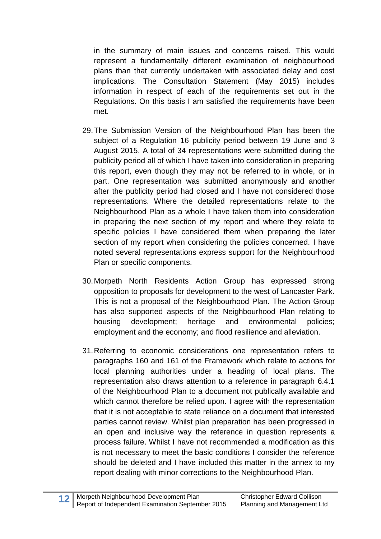in the summary of main issues and concerns raised. This would represent a fundamentally different examination of neighbourhood plans than that currently undertaken with associated delay and cost implications. The Consultation Statement (May 2015) includes information in respect of each of the requirements set out in the Regulations. On this basis I am satisfied the requirements have been met.

- 29.The Submission Version of the Neighbourhood Plan has been the subject of a Regulation 16 publicity period between 19 June and 3 August 2015. A total of 34 representations were submitted during the publicity period all of which I have taken into consideration in preparing this report, even though they may not be referred to in whole, or in part. One representation was submitted anonymously and another after the publicity period had closed and I have not considered those representations. Where the detailed representations relate to the Neighbourhood Plan as a whole I have taken them into consideration in preparing the next section of my report and where they relate to specific policies I have considered them when preparing the later section of my report when considering the policies concerned. I have noted several representations express support for the Neighbourhood Plan or specific components.
- 30.Morpeth North Residents Action Group has expressed strong opposition to proposals for development to the west of Lancaster Park. This is not a proposal of the Neighbourhood Plan. The Action Group has also supported aspects of the Neighbourhood Plan relating to housing development; heritage and environmental policies; employment and the economy; and flood resilience and alleviation.
- 31.Referring to economic considerations one representation refers to paragraphs 160 and 161 of the Framework which relate to actions for local planning authorities under a heading of local plans. The representation also draws attention to a reference in paragraph 6.4.1 of the Neighbourhood Plan to a document not publically available and which cannot therefore be relied upon. I agree with the representation that it is not acceptable to state reliance on a document that interested parties cannot review. Whilst plan preparation has been progressed in an open and inclusive way the reference in question represents a process failure. Whilst I have not recommended a modification as this is not necessary to meet the basic conditions I consider the reference should be deleted and I have included this matter in the annex to my report dealing with minor corrections to the Neighbourhood Plan.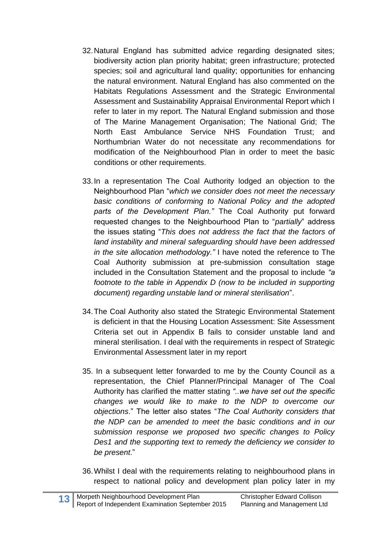- 32.Natural England has submitted advice regarding designated sites; biodiversity action plan priority habitat; green infrastructure; protected species; soil and agricultural land quality; opportunities for enhancing the natural environment. Natural England has also commented on the Habitats Regulations Assessment and the Strategic Environmental Assessment and Sustainability Appraisal Environmental Report which I refer to later in my report. The Natural England submission and those of The Marine Management Organisation; The National Grid; The North East Ambulance Service NHS Foundation Trust; and Northumbrian Water do not necessitate any recommendations for modification of the Neighbourhood Plan in order to meet the basic conditions or other requirements.
- 33.In a representation The Coal Authority lodged an objection to the Neighbourhood Plan "*which we consider does not meet the necessary basic conditions of conforming to National Policy and the adopted parts of the Development Plan."* The Coal Authority put forward requested changes to the Neighbourhood Plan to "*partially*" address the issues stating "*This does not address the fact that the factors of land instability and mineral safeguarding should have been addressed in the site allocation methodology."* I have noted the reference to The Coal Authority submission at pre-submission consultation stage included in the Consultation Statement and the proposal to include *"a footnote to the table in Appendix D (now to be included in supporting document) regarding unstable land or mineral sterilisation*".
- 34.The Coal Authority also stated the Strategic Environmental Statement is deficient in that the Housing Location Assessment: Site Assessment Criteria set out in Appendix B fails to consider unstable land and mineral sterilisation. I deal with the requirements in respect of Strategic Environmental Assessment later in my report
- 35. In a subsequent letter forwarded to me by the County Council as a representation, the Chief Planner/Principal Manager of The Coal Authority has clarified the matter stating *"..we have set out the specific changes we would like to make to the NDP to overcome our objections*." The letter also states "*The Coal Authority considers that the NDP can be amended to meet the basic conditions and in our submission response we proposed two specific changes to Policy Des1 and the supporting text to remedy the deficiency we consider to be present*."
- 36.Whilst I deal with the requirements relating to neighbourhood plans in respect to national policy and development plan policy later in my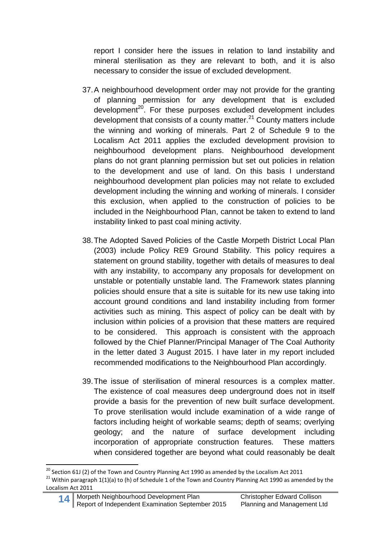report I consider here the issues in relation to land instability and mineral sterilisation as they are relevant to both, and it is also necessary to consider the issue of excluded development.

- 37.A neighbourhood development order may not provide for the granting of planning permission for any development that is excluded development<sup>20</sup>. For these purposes excluded development includes development that consists of a county matter. $^{21}$  County matters include the winning and working of minerals. Part 2 of Schedule 9 to the Localism Act 2011 applies the excluded development provision to neighbourhood development plans. Neighbourhood development plans do not grant planning permission but set out policies in relation to the development and use of land. On this basis I understand neighbourhood development plan policies may not relate to excluded development including the winning and working of minerals. I consider this exclusion, when applied to the construction of policies to be included in the Neighbourhood Plan, cannot be taken to extend to land instability linked to past coal mining activity.
- 38.The Adopted Saved Policies of the Castle Morpeth District Local Plan (2003) include Policy RE9 Ground Stability. This policy requires a statement on ground stability, together with details of measures to deal with any instability, to accompany any proposals for development on unstable or potentially unstable land. The Framework states planning policies should ensure that a site is suitable for its new use taking into account ground conditions and land instability including from former activities such as mining. This aspect of policy can be dealt with by inclusion within policies of a provision that these matters are required to be considered. This approach is consistent with the approach followed by the Chief Planner/Principal Manager of The Coal Authority in the letter dated 3 August 2015. I have later in my report included recommended modifications to the Neighbourhood Plan accordingly.
- 39.The issue of sterilisation of mineral resources is a complex matter. The existence of coal measures deep underground does not in itself provide a basis for the prevention of new built surface development. To prove sterilisation would include examination of a wide range of factors including height of workable seams; depth of seams; overlying geology; and the nature of surface development including incorporation of appropriate construction features. These matters when considered together are beyond what could reasonably be dealt

 $^{20}$  Section 61J (2) of the Town and Country Planning Act 1990 as amended by the Localism Act 2011

<sup>&</sup>lt;sup>21</sup> Within paragraph 1(1)(a) to (h) of Schedule 1 of the Town and Country Planning Act 1990 as amended by the Localism Act 2011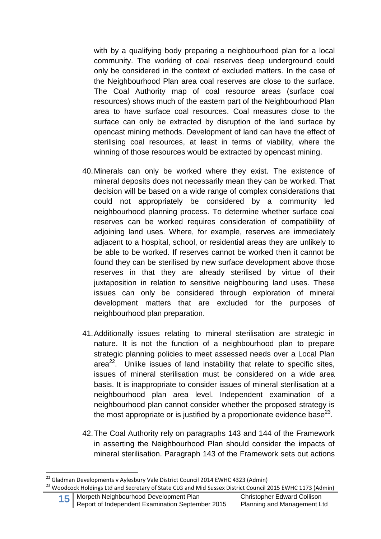with by a qualifying body preparing a neighbourhood plan for a local community. The working of coal reserves deep underground could only be considered in the context of excluded matters. In the case of the Neighbourhood Plan area coal reserves are close to the surface. The Coal Authority map of coal resource areas (surface coal resources) shows much of the eastern part of the Neighbourhood Plan area to have surface coal resources. Coal measures close to the surface can only be extracted by disruption of the land surface by opencast mining methods. Development of land can have the effect of sterilising coal resources, at least in terms of viability, where the winning of those resources would be extracted by opencast mining.

- 40.Minerals can only be worked where they exist. The existence of mineral deposits does not necessarily mean they can be worked. That decision will be based on a wide range of complex considerations that could not appropriately be considered by a community led neighbourhood planning process. To determine whether surface coal reserves can be worked requires consideration of compatibility of adjoining land uses. Where, for example, reserves are immediately adjacent to a hospital, school, or residential areas they are unlikely to be able to be worked. If reserves cannot be worked then it cannot be found they can be sterilised by new surface development above those reserves in that they are already sterilised by virtue of their juxtaposition in relation to sensitive neighbouring land uses. These issues can only be considered through exploration of mineral development matters that are excluded for the purposes of neighbourhood plan preparation.
- 41.Additionally issues relating to mineral sterilisation are strategic in nature. It is not the function of a neighbourhood plan to prepare strategic planning policies to meet assessed needs over a Local Plan area $22$ . Unlike issues of land instability that relate to specific sites, issues of mineral sterilisation must be considered on a wide area basis. It is inappropriate to consider issues of mineral sterilisation at a neighbourhood plan area level. Independent examination of a neighbourhood plan cannot consider whether the proposed strategy is the most appropriate or is justified by a proportionate evidence base<sup>23</sup>.
- 42.The Coal Authority rely on paragraphs 143 and 144 of the Framework in asserting the Neighbourhood Plan should consider the impacts of mineral sterilisation. Paragraph 143 of the Framework sets out actions

 $^{22}$  Gladman Developments v Aylesbury Vale District Council 2014 EWHC 4323 (Admin)

<sup>&</sup>lt;sup>23</sup> Woodcock Holdings Ltd and Secretary of State CLG and Mid Sussex District Council 2015 EWHC 1173 (Admin)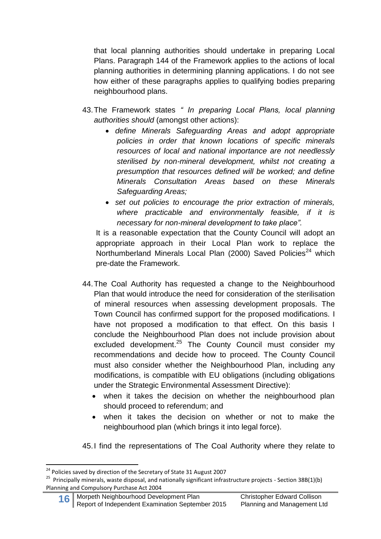that local planning authorities should undertake in preparing Local Plans. Paragraph 144 of the Framework applies to the actions of local planning authorities in determining planning applications. I do not see how either of these paragraphs applies to qualifying bodies preparing neighbourhood plans.

- 43.The Framework states *" In preparing Local Plans, local planning authorities should* (amongst other actions):
	- *define Minerals Safeguarding Areas and adopt appropriate policies in order that known locations of specific minerals resources of local and national importance are not needlessly sterilised by non-mineral development, whilst not creating a presumption that resources defined will be worked; and define Minerals Consultation Areas based on these Minerals Safeguarding Areas;*
	- *set out policies to encourage the prior extraction of minerals, where practicable and environmentally feasible, if it is necessary for non-mineral development to take place".*

It is a reasonable expectation that the County Council will adopt an appropriate approach in their Local Plan work to replace the Northumberland Minerals Local Plan  $(2000)$  Saved Policies<sup>24</sup> which pre-date the Framework.

- 44.The Coal Authority has requested a change to the Neighbourhood Plan that would introduce the need for consideration of the sterilisation of mineral resources when assessing development proposals. The Town Council has confirmed support for the proposed modifications. I have not proposed a modification to that effect. On this basis I conclude the Neighbourhood Plan does not include provision about excluded development.<sup>25</sup> The County Council must consider my recommendations and decide how to proceed. The County Council must also consider whether the Neighbourhood Plan, including any modifications, is compatible with EU obligations (including obligations under the Strategic Environmental Assessment Directive):
	- when it takes the decision on whether the neighbourhood plan should proceed to referendum; and
	- when it takes the decision on whether or not to make the neighbourhood plan (which brings it into legal force).

45.I find the representations of The Coal Authority where they relate to

<sup>&</sup>lt;sup>24</sup> Policies saved by direction of the Secretary of State 31 August 2007

<sup>&</sup>lt;sup>25</sup> Principally minerals, waste disposal, and nationally significant infrastructure projects - Section 38B(1)(b) Planning and Compulsory Purchase Act 2004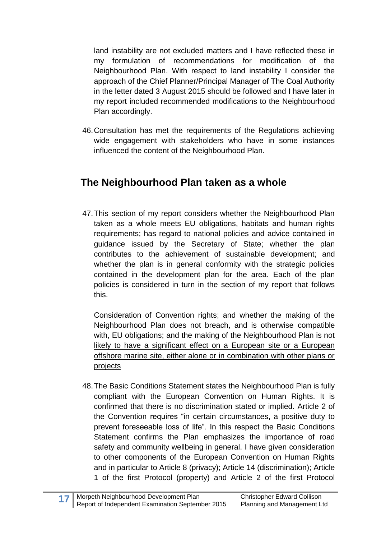land instability are not excluded matters and I have reflected these in my formulation of recommendations for modification of the Neighbourhood Plan. With respect to land instability I consider the approach of the Chief Planner/Principal Manager of The Coal Authority in the letter dated 3 August 2015 should be followed and I have later in my report included recommended modifications to the Neighbourhood Plan accordingly.

46.Consultation has met the requirements of the Regulations achieving wide engagement with stakeholders who have in some instances influenced the content of the Neighbourhood Plan.

#### **The Neighbourhood Plan taken as a whole**

47.This section of my report considers whether the Neighbourhood Plan taken as a whole meets EU obligations, habitats and human rights requirements; has regard to national policies and advice contained in guidance issued by the Secretary of State; whether the plan contributes to the achievement of sustainable development; and whether the plan is in general conformity with the strategic policies contained in the development plan for the area. Each of the plan policies is considered in turn in the section of my report that follows this.

Consideration of Convention rights; and whether the making of the Neighbourhood Plan does not breach, and is otherwise compatible with, EU obligations; and the making of the Neighbourhood Plan is not likely to have a significant effect on a European site or a European offshore marine site, either alone or in combination with other plans or projects

48.The Basic Conditions Statement states the Neighbourhood Plan is fully compliant with the European Convention on Human Rights. It is confirmed that there is no discrimination stated or implied. Article 2 of the Convention requires "in certain circumstances, a positive duty to prevent foreseeable loss of life". In this respect the Basic Conditions Statement confirms the Plan emphasizes the importance of road safety and community wellbeing in general. I have given consideration to other components of the European Convention on Human Rights and in particular to Article 8 (privacy); Article 14 (discrimination); Article 1 of the first Protocol (property) and Article 2 of the first Protocol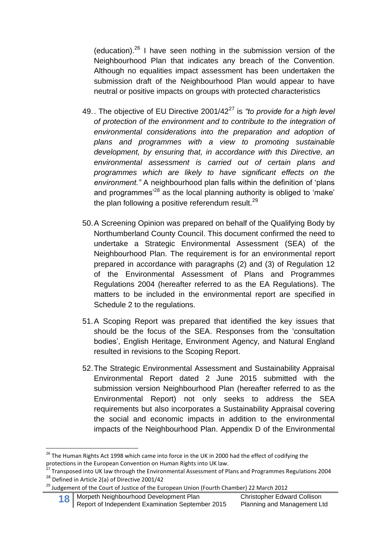(education).<sup>26</sup> I have seen nothing in the submission version of the Neighbourhood Plan that indicates any breach of the Convention. Although no equalities impact assessment has been undertaken the submission draft of the Neighbourhood Plan would appear to have neutral or positive impacts on groups with protected characteristics

- 49.. The objective of EU Directive 2001/42<sup>27</sup> is *"to provide for a high level of protection of the environment and to contribute to the integration of environmental considerations into the preparation and adoption of plans and programmes with a view to promoting sustainable development, by ensuring that, in accordance with this Directive, an environmental assessment is carried out of certain plans and programmes which are likely to have significant effects on the environment."* A neighbourhood plan falls within the definition of 'plans and programmes<sup> $28$ </sup> as the local planning authority is obliged to 'make' the plan following a positive referendum result. $^{29}$
- 50.A Screening Opinion was prepared on behalf of the Qualifying Body by Northumberland County Council. This document confirmed the need to undertake a Strategic Environmental Assessment (SEA) of the Neighbourhood Plan. The requirement is for an environmental report prepared in accordance with paragraphs (2) and (3) of Regulation 12 of the Environmental Assessment of Plans and Programmes Regulations 2004 (hereafter referred to as the EA Regulations). The matters to be included in the environmental report are specified in Schedule 2 to the regulations.
- 51.A Scoping Report was prepared that identified the key issues that should be the focus of the SEA. Responses from the 'consultation bodies', English Heritage, Environment Agency, and Natural England resulted in revisions to the Scoping Report.
- 52.The Strategic Environmental Assessment and Sustainability Appraisal Environmental Report dated 2 June 2015 submitted with the submission version Neighbourhood Plan (hereafter referred to as the Environmental Report) not only seeks to address the SEA requirements but also incorporates a Sustainability Appraisal covering the social and economic impacts in addition to the environmental impacts of the Neighbourhood Plan. Appendix D of the Environmental

**.** 

**18** Morpeth Neighbourhood Development Plan Christopher Edward Collison<br>Report of Independent Examination September 2015 Planning and Management Ltd

<sup>&</sup>lt;sup>26</sup> The Human Rights Act 1998 which came into force in the UK in 2000 had the effect of codifying the protections in the European Convention on Human Rights into UK law.

<sup>&</sup>lt;sup>27</sup> Transposed into UK law through the Environmental Assessment of Plans and Programmes Regulations 2004 <sup>28</sup> Defined in Article 2(a) of Directive 2001/42

<sup>&</sup>lt;sup>29</sup> Judgement of the Court of Justice of the European Union (Fourth Chamber) 22 March 2012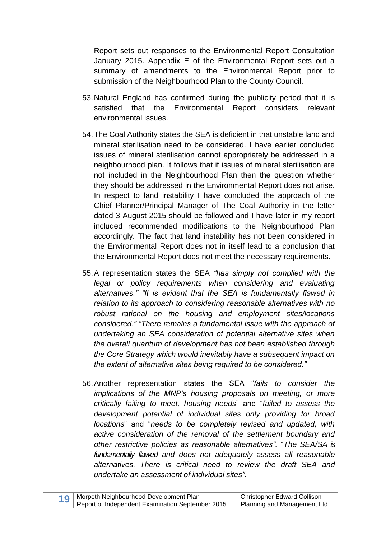Report sets out responses to the Environmental Report Consultation January 2015. Appendix E of the Environmental Report sets out a summary of amendments to the Environmental Report prior to submission of the Neighbourhood Plan to the County Council.

- 53.Natural England has confirmed during the publicity period that it is satisfied that the Environmental Report considers relevant environmental issues.
- 54.The Coal Authority states the SEA is deficient in that unstable land and mineral sterilisation need to be considered. I have earlier concluded issues of mineral sterilisation cannot appropriately be addressed in a neighbourhood plan. It follows that if issues of mineral sterilisation are not included in the Neighbourhood Plan then the question whether they should be addressed in the Environmental Report does not arise. In respect to land instability I have concluded the approach of the Chief Planner/Principal Manager of The Coal Authority in the letter dated 3 August 2015 should be followed and I have later in my report included recommended modifications to the Neighbourhood Plan accordingly. The fact that land instability has not been considered in the Environmental Report does not in itself lead to a conclusion that the Environmental Report does not meet the necessary requirements.
- 55.A representation states the SEA *"has simply not complied with the legal or policy requirements when considering and evaluating alternatives." "It is evident that the SEA is fundamentally flawed in relation to its approach to considering reasonable alternatives with no robust rational on the housing and employment sites/locations considered." "There remains a fundamental issue with the approach of undertaking an SEA consideration of potential alternative sites when the overall quantum of development has not been established through the Core Strategy which would inevitably have a subsequent impact on the extent of alternative sites being required to be considered."*
- 56.Another representation states the SEA "*fails to consider the implications of the MNP's housing proposals on meeting, or more critically failing to meet, housing needs*" and "*failed to assess the development potential of individual sites only providing for broad locations*" and "*needs to be completely revised and updated, with active consideration of the removal of the settlement boundary and other restrictive policies as reasonable alternatives".* "*The SEA/SA is fundamentally flawed and does not adequately assess all reasonable alternatives. There is critical need to review the draft SEA and undertake an assessment of individual sites".*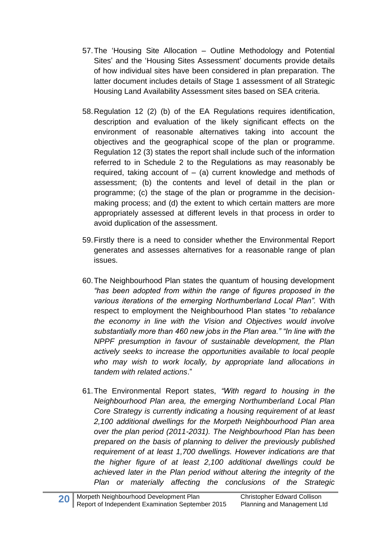- 57.The 'Housing Site Allocation Outline Methodology and Potential Sites' and the 'Housing Sites Assessment' documents provide details of how individual sites have been considered in plan preparation. The latter document includes details of Stage 1 assessment of all Strategic Housing Land Availability Assessment sites based on SEA criteria.
- 58.Regulation 12 (2) (b) of the EA Regulations requires identification, description and evaluation of the likely significant effects on the environment of reasonable alternatives taking into account the objectives and the geographical scope of the plan or programme. Regulation 12 (3) states the report shall include such of the information referred to in Schedule 2 to the Regulations as may reasonably be required, taking account of  $-$  (a) current knowledge and methods of assessment; (b) the contents and level of detail in the plan or programme; (c) the stage of the plan or programme in the decisionmaking process; and (d) the extent to which certain matters are more appropriately assessed at different levels in that process in order to avoid duplication of the assessment.
- 59.Firstly there is a need to consider whether the Environmental Report generates and assesses alternatives for a reasonable range of plan issues.
- 60.The Neighbourhood Plan states the quantum of housing development *"has been adopted from within the range of figures proposed in the various iterations of the emerging Northumberland Local Plan".* With respect to employment the Neighbourhood Plan states "*to rebalance the economy in line with the Vision and Objectives would involve substantially more than 460 new jobs in the Plan area." "In line with the NPPF presumption in favour of sustainable development, the Plan actively seeks to increase the opportunities available to local people who may wish to work locally, by appropriate land allocations in tandem with related actions*."
- 61.The Environmental Report states, *"With regard to housing in the Neighbourhood Plan area, the emerging Northumberland Local Plan Core Strategy is currently indicating a housing requirement of at least 2,100 additional dwellings for the Morpeth Neighbourhood Plan area over the plan period (2011-2031). The Neighbourhood Plan has been prepared on the basis of planning to deliver the previously published requirement of at least 1,700 dwellings. However indications are that the higher figure of at least 2,100 additional dwellings could be achieved later in the Plan period without altering the integrity of the Plan or materially affecting the conclusions of the Strategic*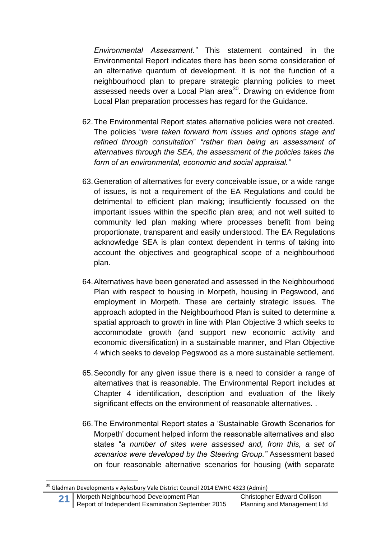*Environmental Assessment."* This statement contained in the Environmental Report indicates there has been some consideration of an alternative quantum of development. It is not the function of a neighbourhood plan to prepare strategic planning policies to meet assessed needs over a Local Plan area $30$ . Drawing on evidence from Local Plan preparation processes has regard for the Guidance.

- 62.The Environmental Report states alternative policies were not created. The policies "*were taken forward from issues and options stage and refined through consultation*" *"rather than being an assessment of alternatives through the SEA, the assessment of the policies takes the form of an environmental, economic and social appraisal."*
- 63.Generation of alternatives for every conceivable issue, or a wide range of issues, is not a requirement of the EA Regulations and could be detrimental to efficient plan making; insufficiently focussed on the important issues within the specific plan area; and not well suited to community led plan making where processes benefit from being proportionate, transparent and easily understood. The EA Regulations acknowledge SEA is plan context dependent in terms of taking into account the objectives and geographical scope of a neighbourhood plan.
- 64.Alternatives have been generated and assessed in the Neighbourhood Plan with respect to housing in Morpeth, housing in Pegswood, and employment in Morpeth. These are certainly strategic issues. The approach adopted in the Neighbourhood Plan is suited to determine a spatial approach to growth in line with Plan Objective 3 which seeks to accommodate growth (and support new economic activity and economic diversification) in a sustainable manner, and Plan Objective 4 which seeks to develop Pegswood as a more sustainable settlement.
- 65.Secondly for any given issue there is a need to consider a range of alternatives that is reasonable. The Environmental Report includes at Chapter 4 identification, description and evaluation of the likely significant effects on the environment of reasonable alternatives. .
- 66.The Environmental Report states a 'Sustainable Growth Scenarios for Morpeth' document helped inform the reasonable alternatives and also states "*a number of sites were assessed and, from this, a set of scenarios were developed by the Steering Group."* Assessment based on four reasonable alternative scenarios for housing (with separate

1

 $^{30}$  Gladman Developments v Aylesbury Vale District Council 2014 EWHC 4323 (Admin)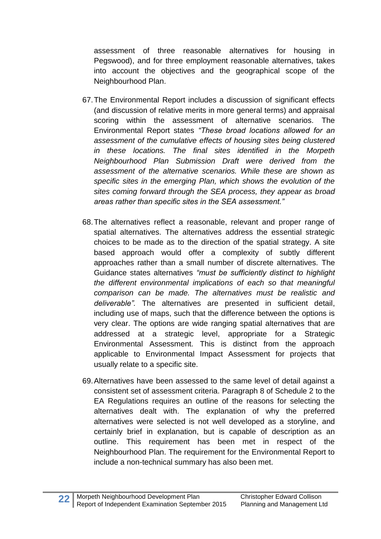assessment of three reasonable alternatives for housing in Pegswood), and for three employment reasonable alternatives, takes into account the objectives and the geographical scope of the Neighbourhood Plan.

- 67.The Environmental Report includes a discussion of significant effects (and discussion of relative merits in more general terms) and appraisal scoring within the assessment of alternative scenarios. The Environmental Report states *"These broad locations allowed for an assessment of the cumulative effects of housing sites being clustered in these locations. The final sites identified in the Morpeth Neighbourhood Plan Submission Draft were derived from the assessment of the alternative scenarios. While these are shown as specific sites in the emerging Plan, which shows the evolution of the sites coming forward through the SEA process, they appear as broad areas rather than specific sites in the SEA assessment."*
- 68.The alternatives reflect a reasonable, relevant and proper range of spatial alternatives. The alternatives address the essential strategic choices to be made as to the direction of the spatial strategy. A site based approach would offer a complexity of subtly different approaches rather than a small number of discrete alternatives. The Guidance states alternatives *"must be sufficiently distinct to highlight the different environmental implications of each so that meaningful comparison can be made. The alternatives must be realistic and deliverable".* The alternatives are presented in sufficient detail, including use of maps, such that the difference between the options is very clear. The options are wide ranging spatial alternatives that are addressed at a strategic level, appropriate for a Strategic Environmental Assessment. This is distinct from the approach applicable to Environmental Impact Assessment for projects that usually relate to a specific site.
- 69.Alternatives have been assessed to the same level of detail against a consistent set of assessment criteria. Paragraph 8 of Schedule 2 to the EA Regulations requires an outline of the reasons for selecting the alternatives dealt with. The explanation of why the preferred alternatives were selected is not well developed as a storyline, and certainly brief in explanation, but is capable of description as an outline. This requirement has been met in respect of the Neighbourhood Plan. The requirement for the Environmental Report to include a non-technical summary has also been met.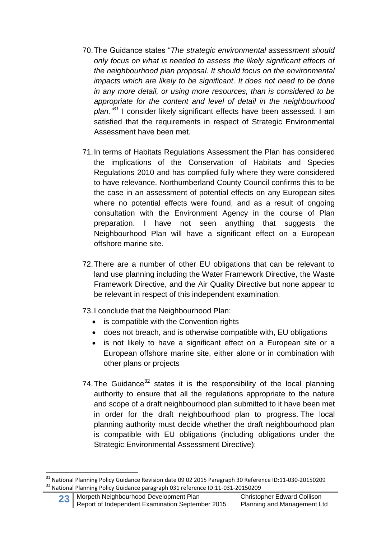- 70.The Guidance states "*The strategic environmental assessment should only focus on what is needed to assess the likely significant effects of the neighbourhood plan proposal. It should focus on the environmental impacts which are likely to be significant. It does not need to be done in any more detail, or using more resources, than is considered to be appropriate for the content and level of detail in the neighbourhood plan." <sup>31</sup>* I consider likely significant effects have been assessed. I am satisfied that the requirements in respect of Strategic Environmental Assessment have been met.
- 71.In terms of Habitats Regulations Assessment the Plan has considered the implications of the Conservation of Habitats and Species Regulations 2010 and has complied fully where they were considered to have relevance. Northumberland County Council confirms this to be the case in an assessment of potential effects on any European sites where no potential effects were found, and as a result of ongoing consultation with the Environment Agency in the course of Plan preparation. I have not seen anything that suggests the Neighbourhood Plan will have a significant effect on a European offshore marine site.
- 72.There are a number of other EU obligations that can be relevant to land use planning including the Water Framework Directive, the Waste Framework Directive, and the Air Quality Directive but none appear to be relevant in respect of this independent examination.
- 73.I conclude that the Neighbourhood Plan:
	- is compatible with the Convention rights
	- does not breach, and is otherwise compatible with, EU obligations
	- is not likely to have a significant effect on a European site or a European offshore marine site, either alone or in combination with other plans or projects
- 74. The Guidance<sup>32</sup> states it is the responsibility of the local planning authority to ensure that all the regulations appropriate to the nature and scope of a draft neighbourhood plan submitted to it have been met in order for the draft neighbourhood plan to progress. The local planning authority must decide whether the draft neighbourhood plan is compatible with EU obligations (including obligations under the Strategic Environmental Assessment Directive):

<sup>&</sup>lt;sup>31</sup> National Planning Policy Guidance Revision date 09 02 2015 Paragraph 30 Reference ID:11-030-20150209 <sup>32</sup> National Planning Policy Guidance paragraph 031 reference ID:11-031-20150209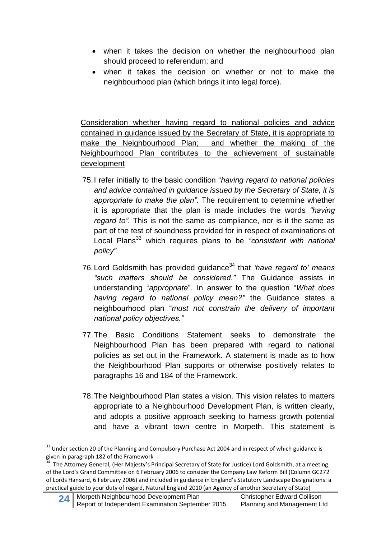- when it takes the decision on whether the neighbourhood plan should proceed to referendum; and
- when it takes the decision on whether or not to make the neighbourhood plan (which brings it into legal force).

Consideration whether having regard to national policies and advice contained in guidance issued by the Secretary of State, it is appropriate to make the Neighbourhood Plan; and whether the making of the Neighbourhood Plan contributes to the achievement of sustainable development

- 75.I refer initially to the basic condition "*having regard to national policies and advice contained in guidance issued by the Secretary of State, it is appropriate to make the plan".* The requirement to determine whether it is appropriate that the plan is made includes the words *"having regard to".* This is not the same as compliance, nor is it the same as part of the test of soundness provided for in respect of examinations of Local Plans<sup>33</sup> which requires plans to be "consistent with national *policy".*
- 76. Lord Goldsmith has provided guidance<sup>34</sup> that *'have regard to' means "such matters should be considered."* The Guidance assists in understanding "*appropriate*". In answer to the question "*What does having regard to national policy mean?"* the Guidance states a neighbourhood plan "*must not constrain the delivery of important national policy objectives."*
- 77.The Basic Conditions Statement seeks to demonstrate the Neighbourhood Plan has been prepared with regard to national policies as set out in the Framework. A statement is made as to how the Neighbourhood Plan supports or otherwise positively relates to paragraphs 16 and 184 of the Framework.
- 78.The Neighbourhood Plan states a vision. This vision relates to matters appropriate to a Neighbourhood Development Plan, is written clearly, and adopts a positive approach seeking to harness growth potential and have a vibrant town centre in Morpeth. This statement is

1

<sup>&</sup>lt;sup>33</sup> Under section 20 of the Planning and Compulsory Purchase Act 2004 and in respect of which guidance is given in paragraph 182 of the Framework<br><sup>34</sup>, The Atternay Canaral, (Her Majesty's E

The Attorney General, (Her Majesty's Principal Secretary of State for Justice) Lord Goldsmith, at a meeting of the Lord's Grand Committee on 6 February 2006 to consider the Company Law Reform Bill (Column GC272 of Lords Hansard, 6 February 2006) and included in guidance in England's Statutory Landscape Designations: a practical guide to your duty of regard, Natural England 2010 (an Agency of another Secretary of State)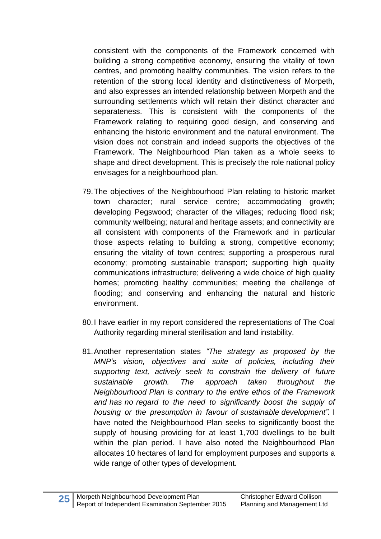consistent with the components of the Framework concerned with building a strong competitive economy, ensuring the vitality of town centres, and promoting healthy communities. The vision refers to the retention of the strong local identity and distinctiveness of Morpeth, and also expresses an intended relationship between Morpeth and the surrounding settlements which will retain their distinct character and separateness. This is consistent with the components of the Framework relating to requiring good design, and conserving and enhancing the historic environment and the natural environment. The vision does not constrain and indeed supports the objectives of the Framework. The Neighbourhood Plan taken as a whole seeks to shape and direct development. This is precisely the role national policy envisages for a neighbourhood plan.

- 79.The objectives of the Neighbourhood Plan relating to historic market town character; rural service centre; accommodating growth; developing Pegswood; character of the villages; reducing flood risk; community wellbeing; natural and heritage assets; and connectivity are all consistent with components of the Framework and in particular those aspects relating to building a strong, competitive economy; ensuring the vitality of town centres; supporting a prosperous rural economy; promoting sustainable transport; supporting high quality communications infrastructure; delivering a wide choice of high quality homes; promoting healthy communities; meeting the challenge of flooding; and conserving and enhancing the natural and historic environment.
- 80.I have earlier in my report considered the representations of The Coal Authority regarding mineral sterilisation and land instability.
- 81.Another representation states *"The strategy as proposed by the MNP's vision, objectives and suite of policies, including their supporting text, actively seek to constrain the delivery of future sustainable growth. The approach taken throughout the Neighbourhood Plan is contrary to the entire ethos of the Framework and has no regard to the need to significantly boost the supply of housing or the presumption in favour of sustainable development".* I have noted the Neighbourhood Plan seeks to significantly boost the supply of housing providing for at least 1,700 dwellings to be built within the plan period. I have also noted the Neighbourhood Plan allocates 10 hectares of land for employment purposes and supports a wide range of other types of development.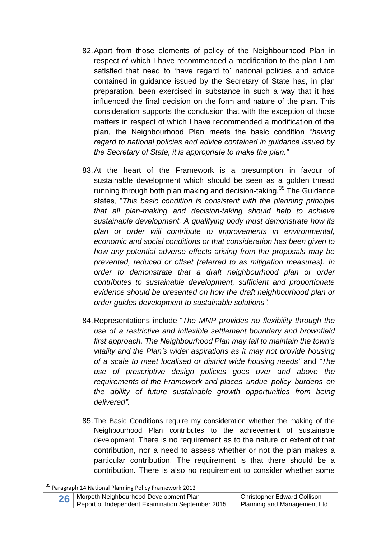- 82.Apart from those elements of policy of the Neighbourhood Plan in respect of which I have recommended a modification to the plan I am satisfied that need to 'have regard to' national policies and advice contained in guidance issued by the Secretary of State has, in plan preparation, been exercised in substance in such a way that it has influenced the final decision on the form and nature of the plan. This consideration supports the conclusion that with the exception of those matters in respect of which I have recommended a modification of the plan, the Neighbourhood Plan meets the basic condition "*having regard to national policies and advice contained in guidance issued by the Secretary of State, it is appropriate to make the plan."*
- 83.At the heart of the Framework is a presumption in favour of sustainable development which should be seen as a golden thread running through both plan making and decision-taking.<sup>35</sup> The Guidance states, "*This basic condition is consistent with the planning principle that all plan-making and decision-taking should help to achieve sustainable development. A qualifying body must demonstrate how its plan or order will contribute to improvements in environmental, economic and social conditions or that consideration has been given to how any potential adverse effects arising from the proposals may be prevented, reduced or offset (referred to as mitigation measures). In order to demonstrate that a draft neighbourhood plan or order contributes to sustainable development, sufficient and proportionate evidence should be presented on how the draft neighbourhood plan or order guides development to sustainable solutions".*
- 84.Representations include "*The MNP provides no flexibility through the use of a restrictive and inflexible settlement boundary and brownfield first approach. The Neighbourhood Plan may fail to maintain the town's vitality and the Plan's wider aspirations as it may not provide housing of a scale to meet localised or district wide housing needs"* and *"The use of prescriptive design policies goes over and above the requirements of the Framework and places undue policy burdens on the ability of future sustainable growth opportunities from being delivered".*
- 85.The Basic Conditions require my consideration whether the making of the Neighbourhood Plan contributes to the achievement of sustainable development. There is no requirement as to the nature or extent of that contribution, nor a need to assess whether or not the plan makes a particular contribution. The requirement is that there should be a contribution. There is also no requirement to consider whether some

1

**26** Morpeth Neighbourhood Development Plan Christopher Edward Collison<br>Report of Independent Examination September 2015 Planning and Management Ltd Report of Independent Examination September 2015

<sup>&</sup>lt;sup>35</sup> Paragraph 14 National Planning Policy Framework 2012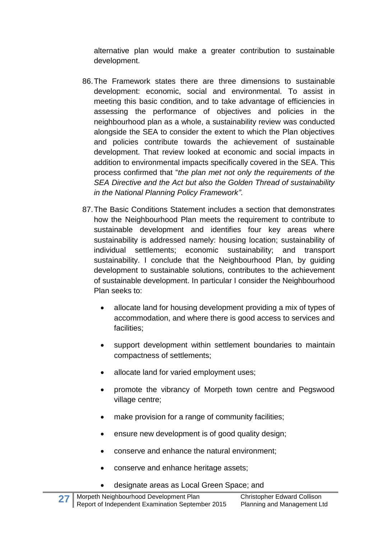alternative plan would make a greater contribution to sustainable development.

- 86.The Framework states there are three dimensions to sustainable development: economic, social and environmental. To assist in meeting this basic condition, and to take advantage of efficiencies in assessing the performance of objectives and policies in the neighbourhood plan as a whole, a sustainability review was conducted alongside the SEA to consider the extent to which the Plan objectives and policies contribute towards the achievement of sustainable development. That review looked at economic and social impacts in addition to environmental impacts specifically covered in the SEA. This process confirmed that "*the plan met not only the requirements of the SEA Directive and the Act but also the Golden Thread of sustainability in the National Planning Policy Framework"*.
- 87.The Basic Conditions Statement includes a section that demonstrates how the Neighbourhood Plan meets the requirement to contribute to sustainable development and identifies four key areas where sustainability is addressed namely: housing location; sustainability of individual settlements; economic sustainability; and transport sustainability. I conclude that the Neighbourhood Plan, by guiding development to sustainable solutions, contributes to the achievement of sustainable development. In particular I consider the Neighbourhood Plan seeks to:
	- allocate land for housing development providing a mix of types of accommodation, and where there is good access to services and facilities;
	- support development within settlement boundaries to maintain compactness of settlements;
	- allocate land for varied employment uses;
	- promote the vibrancy of Morpeth town centre and Pegswood village centre;
	- make provision for a range of community facilities;
	- ensure new development is of good quality design;
	- conserve and enhance the natural environment;
	- conserve and enhance heritage assets;
	- designate areas as Local Green Space; and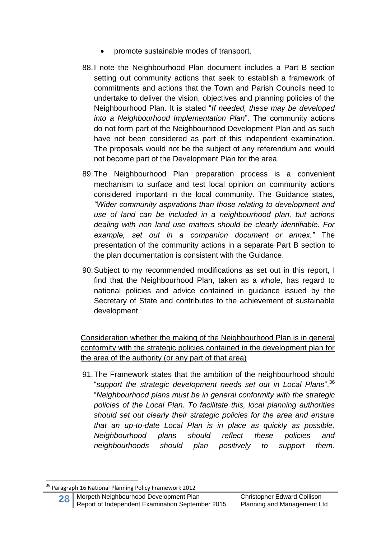- promote sustainable modes of transport.
- 88.I note the Neighbourhood Plan document includes a Part B section setting out community actions that seek to establish a framework of commitments and actions that the Town and Parish Councils need to undertake to deliver the vision, objectives and planning policies of the Neighbourhood Plan. It is stated "*If needed, these may be developed into a Neighbourhood Implementation Plan*". The community actions do not form part of the Neighbourhood Development Plan and as such have not been considered as part of this independent examination. The proposals would not be the subject of any referendum and would not become part of the Development Plan for the area.
- 89.The Neighbourhood Plan preparation process is a convenient mechanism to surface and test local opinion on community actions considered important in the local community. The Guidance states*, "Wider community aspirations than those relating to development and use of land can be included in a neighbourhood plan, but actions dealing with non land use matters should be clearly identifiable. For example, set out in a companion document or annex."* The presentation of the community actions in a separate Part B section to the plan documentation is consistent with the Guidance.
- 90.Subject to my recommended modifications as set out in this report, I find that the Neighbourhood Plan, taken as a whole, has regard to national policies and advice contained in guidance issued by the Secretary of State and contributes to the achievement of sustainable development.

Consideration whether the making of the Neighbourhood Plan is in general conformity with the strategic policies contained in the development plan for the area of the authority (or any part of that area)

91.The Framework states that the ambition of the neighbourhood should "*support the strategic development needs set out in Local Plans*". 36 "*Neighbourhood plans must be in general conformity with the strategic policies of the Local Plan. To facilitate this, local planning authorities should set out clearly their strategic policies for the area and ensure that an up-to-date Local Plan is in place as quickly as possible. Neighbourhood plans should reflect these policies and neighbourhoods should plan positively to support them.*

1

<sup>&</sup>lt;sup>36</sup> Paragraph 16 National Planning Policy Framework 2012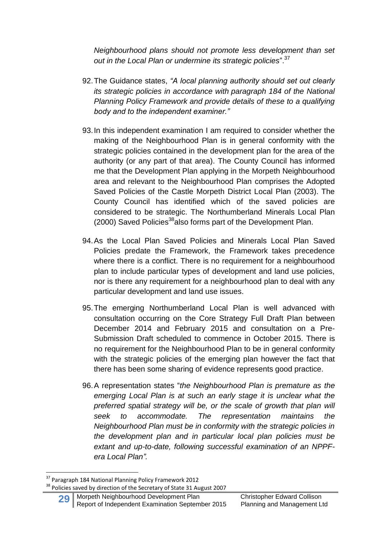*Neighbourhood plans should not promote less development than set out in the Local Plan or undermine its strategic policies*". 37

- 92.The Guidance states, *"A local planning authority should set out clearly its strategic policies in accordance with paragraph 184 of the National Planning Policy Framework and provide details of these to a qualifying body and to the independent examiner."*
- 93.In this independent examination I am required to consider whether the making of the Neighbourhood Plan is in general conformity with the strategic policies contained in the development plan for the area of the authority (or any part of that area). The County Council has informed me that the Development Plan applying in the Morpeth Neighbourhood area and relevant to the Neighbourhood Plan comprises the Adopted Saved Policies of the Castle Morpeth District Local Plan (2003). The County Council has identified which of the saved policies are considered to be strategic. The Northumberland Minerals Local Plan  $(2000)$  Saved Policies<sup>38</sup>also forms part of the Development Plan.
- 94.As the Local Plan Saved Policies and Minerals Local Plan Saved Policies predate the Framework, the Framework takes precedence where there is a conflict. There is no requirement for a neighbourhood plan to include particular types of development and land use policies, nor is there any requirement for a neighbourhood plan to deal with any particular development and land use issues.
- 95.The emerging Northumberland Local Plan is well advanced with consultation occurring on the Core Strategy Full Draft Plan between December 2014 and February 2015 and consultation on a Pre-Submission Draft scheduled to commence in October 2015. There is no requirement for the Neighbourhood Plan to be in general conformity with the strategic policies of the emerging plan however the fact that there has been some sharing of evidence represents good practice.
- 96.A representation states "*the Neighbourhood Plan is premature as the emerging Local Plan is at such an early stage it is unclear what the preferred spatial strategy will be, or the scale of growth that plan will seek to accommodate. The representation maintains the Neighbourhood Plan must be in conformity with the strategic policies in the development plan and in particular local plan policies must be extant and up-to-date, following successful examination of an NPPFera Local Plan".*

**<sup>.</sup>** <sup>37</sup> Paragraph 184 National Planning Policy Framework 2012

<sup>&</sup>lt;sup>38</sup> Policies saved by direction of the Secretary of State 31 August 2007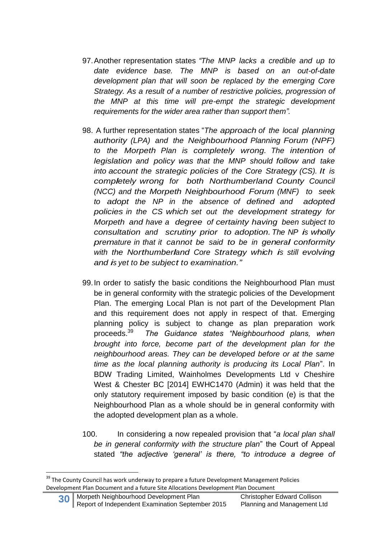- 97.Another representation states *"The MNP lacks a credible and up to date evidence base. The MNP is based on an out-of-date development plan that will soon be replaced by the emerging Core Strategy. As a result of a number of restrictive policies, progression of the MNP at this time will pre-empt the strategic development requirements for the wider area rather than support them".*
- 98. A further representation states "*The approach of the local planning authority (LPA) and the Neighbourhood Planning Forum (NPF) to the Morpeth Plan is completely wrong. The intention of legislation and policy was that the MNP should follow and take into account the strategic policies of the Core Strategy (CS). It is completely wrong for both Northumberland County Council (NCC) and the Morpeth Neighbourhood Forum (MNF) to seek to adopt the NP in the absence of defined and adopted policies in the CS which set out the development strategy for Morpeth and have a degree of certainty having been subject to consultation and scrutiny prior to adoption. The NP is wholly premature in that it cannot be said to be in general conformity with the Northumberland Core Strategy which is still evolving and is yet to be subject to examination."*
- 99.In order to satisfy the basic conditions the Neighbourhood Plan must be in general conformity with the strategic policies of the Development Plan. The emerging Local Plan is not part of the Development Plan and this requirement does not apply in respect of that. Emerging planning policy is subject to change as plan preparation work proceeds.<sup>39</sup> *The Guidance states "Neighbourhood plans, when brought into force, become part of the development plan for the neighbourhood areas. They can be developed before or at the same time as the local planning authority is producing its Local Plan*". In BDW Trading Limited, Wainholmes Developments Ltd v Cheshire West & Chester BC [2014] EWHC1470 (Admin) it was held that the only statutory requirement imposed by basic condition (e) is that the Neighbourhood Plan as a whole should be in general conformity with the adopted development plan as a whole.
- 100. In considering a now repealed provision that "*a local plan shall be in general conformity with the structure plan*" the Court of Appeal stated *"the adjective 'general' is there, "to introduce a degree of*

<sup>&</sup>lt;sup>39</sup> The County Council has work underway to prepare a future Development Management Policies Development Plan Document and a future Site Allocations Development Plan Document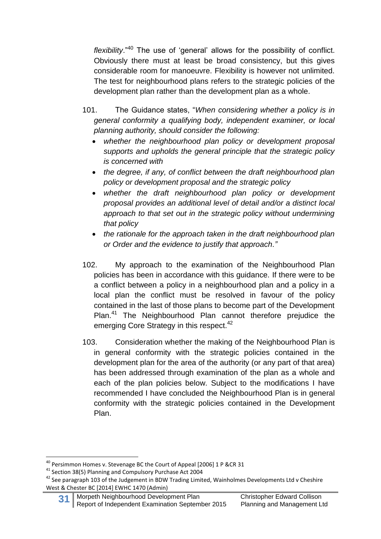*flexibility*."<sup>40</sup> The use of 'general' allows for the possibility of conflict. Obviously there must at least be broad consistency, but this gives considerable room for manoeuvre. Flexibility is however not unlimited. The test for neighbourhood plans refers to the strategic policies of the development plan rather than the development plan as a whole.

- 101. The Guidance states, "*When considering whether a policy is in general conformity a qualifying body, independent examiner, or local planning authority, should consider the following:*
	- *whether the neighbourhood plan policy or development proposal supports and upholds the general principle that the strategic policy is concerned with*
	- *the degree, if any, of conflict between the draft neighbourhood plan policy or development proposal and the strategic policy*
	- *whether the draft neighbourhood plan policy or development proposal provides an additional level of detail and/or a distinct local approach to that set out in the strategic policy without undermining that policy*
	- *the rationale for the approach taken in the draft neighbourhood plan or Order and the evidence to justify that approach."*
- 102. My approach to the examination of the Neighbourhood Plan policies has been in accordance with this guidance. If there were to be a conflict between a policy in a neighbourhood plan and a policy in a local plan the conflict must be resolved in favour of the policy contained in the last of those plans to become part of the Development Plan.<sup>41</sup> The Neighbourhood Plan cannot therefore prejudice the emerging Core Strategy in this respect.<sup>42</sup>
- 103. Consideration whether the making of the Neighbourhood Plan is in general conformity with the strategic policies contained in the development plan for the area of the authority (or any part of that area) has been addressed through examination of the plan as a whole and each of the plan policies below. Subject to the modifications I have recommended I have concluded the Neighbourhood Plan is in general conformity with the strategic policies contained in the Development Plan.

**31** Morpeth Neighbourhood Development Plan Christopher Edward Collison<br>Report of Independent Examination September 2015 Planning and Management Ltd Report of Independent Examination September 2015

 $^{40}$  Persimmon Homes v. Stevenage BC the Court of Appeal [2006] 1 P &CR 31

<sup>41</sup> Section 38(5) Planning and Compulsory Purchase Act 2004

 $42$  See paragraph 103 of the Judgement in BDW Trading Limited, Wainholmes Developments Ltd v Cheshire West & Chester BC [2014] EWHC 1470 (Admin)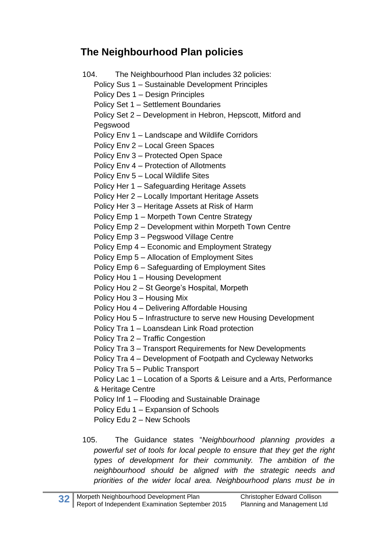# **The Neighbourhood Plan policies**

104. The Neighbourhood Plan includes 32 policies: Policy Sus 1 – Sustainable Development Principles Policy Des 1 – Design Principles Policy Set 1 – Settlement Boundaries Policy Set 2 – Development in Hebron, Hepscott, Mitford and Pegswood Policy Env 1 – Landscape and Wildlife Corridors Policy Env 2 – Local Green Spaces Policy Env 3 – Protected Open Space Policy Env 4 – Protection of Allotments Policy Env 5 – Local Wildlife Sites Policy Her 1 – Safeguarding Heritage Assets Policy Her 2 – Locally Important Heritage Assets Policy Her 3 – Heritage Assets at Risk of Harm Policy Emp 1 – Morpeth Town Centre Strategy Policy Emp 2 – Development within Morpeth Town Centre Policy Emp 3 – Pegswood Village Centre Policy Emp 4 – Economic and Employment Strategy Policy Emp 5 – Allocation of Employment Sites Policy Emp 6 – Safeguarding of Employment Sites Policy Hou 1 – Housing Development Policy Hou 2 – St George's Hospital, Morpeth Policy Hou 3 – Housing Mix Policy Hou 4 – Delivering Affordable Housing Policy Hou 5 – Infrastructure to serve new Housing Development Policy Tra 1 – Loansdean Link Road protection Policy Tra 2 – Traffic Congestion Policy Tra 3 – Transport Requirements for New Developments Policy Tra 4 – Development of Footpath and Cycleway Networks Policy Tra 5 – Public Transport Policy Lac 1 – Location of a Sports & Leisure and a Arts, Performance & Heritage Centre Policy Inf 1 – Flooding and Sustainable Drainage Policy Edu 1 – Expansion of Schools Policy Edu 2 – New Schools

105. The Guidance states "*Neighbourhood planning provides a powerful set of tools for local people to ensure that they get the right types of development for their community. The ambition of the neighbourhood should be aligned with the strategic needs and priorities of the wider local area. Neighbourhood plans must be in*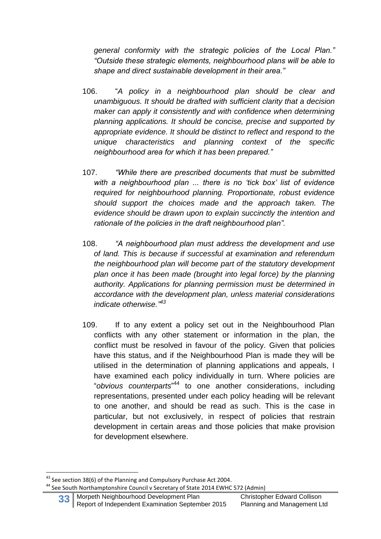*general conformity with the strategic policies of the Local Plan." "Outside these strategic elements, neighbourhood plans will be able to shape and direct sustainable development in their area."*

- 106. "*A policy in a neighbourhood plan should be clear and unambiguous. It should be drafted with sufficient clarity that a decision maker can apply it consistently and with confidence when determining planning applications. It should be concise, precise and supported by appropriate evidence. It should be distinct to reflect and respond to the unique characteristics and planning context of the specific neighbourhood area for which it has been prepared."*
- 107. *"While there are prescribed documents that must be submitted with a neighbourhood plan ... there is no 'tick box' list of evidence required for neighbourhood planning. Proportionate, robust evidence should support the choices made and the approach taken. The evidence should be drawn upon to explain succinctly the intention and rationale of the policies in the draft neighbourhood plan".*
- 108. *"A neighbourhood plan must address the development and use of land. This is because if successful at examination and referendum the neighbourhood plan will become part of the statutory development plan once it has been made (brought into legal force) by the planning authority. Applications for planning permission must be determined in accordance with the development plan, unless material considerations indicate otherwise." 43*
- 109. If to any extent a policy set out in the Neighbourhood Plan conflicts with any other statement or information in the plan, the conflict must be resolved in favour of the policy. Given that policies have this status, and if the Neighbourhood Plan is made they will be utilised in the determination of planning applications and appeals, I have examined each policy individually in turn. Where policies are "*obvious counterparts*" <sup>44</sup> to one another considerations, including representations, presented under each policy heading will be relevant to one another, and should be read as such. This is the case in particular, but not exclusively, in respect of policies that restrain development in certain areas and those policies that make provision for development elsewhere.

**<sup>.</sup>** <sup>43</sup> See section 38(6) of the Planning and Compulsory Purchase Act 2004.

<sup>&</sup>lt;sup>44</sup> See South Northamptonshire Council v Secretary of State 2014 EWHC 572 (Admin)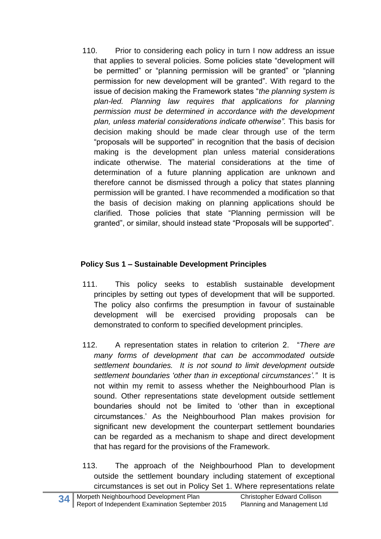110. Prior to considering each policy in turn I now address an issue that applies to several policies. Some policies state "development will be permitted" or "planning permission will be granted" or "planning permission for new development will be granted". With regard to the issue of decision making the Framework states "*the planning system is plan-led. Planning law requires that applications for planning permission must be determined in accordance with the development plan, unless material considerations indicate otherwise".* This basis for decision making should be made clear through use of the term "proposals will be supported" in recognition that the basis of decision making is the development plan unless material considerations indicate otherwise. The material considerations at the time of determination of a future planning application are unknown and therefore cannot be dismissed through a policy that states planning permission will be granted. I have recommended a modification so that the basis of decision making on planning applications should be clarified. Those policies that state "Planning permission will be granted", or similar, should instead state "Proposals will be supported".

#### **Policy Sus 1 – Sustainable Development Principles**

- 111. This policy seeks to establish sustainable development principles by setting out types of development that will be supported. The policy also confirms the presumption in favour of sustainable development will be exercised providing proposals can be demonstrated to conform to specified development principles.
- 112. A representation states in relation to criterion 2. "*There are many forms of development that can be accommodated outside settlement boundaries. It is not sound to limit development outside settlement boundaries 'other than in exceptional circumstances'."* It is not within my remit to assess whether the Neighbourhood Plan is sound. Other representations state development outside settlement boundaries should not be limited to 'other than in exceptional circumstances.' As the Neighbourhood Plan makes provision for significant new development the counterpart settlement boundaries can be regarded as a mechanism to shape and direct development that has regard for the provisions of the Framework.
- 113. The approach of the Neighbourhood Plan to development outside the settlement boundary including statement of exceptional circumstances is set out in Policy Set 1. Where representations relate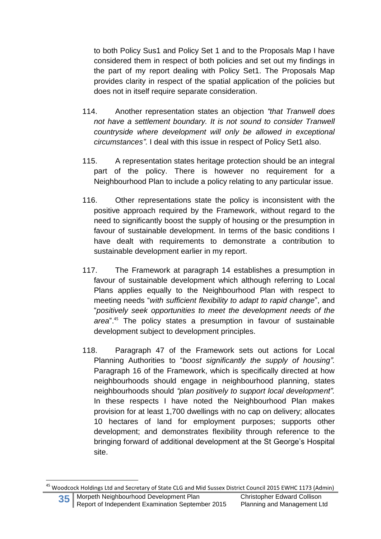to both Policy Sus1 and Policy Set 1 and to the Proposals Map I have considered them in respect of both policies and set out my findings in the part of my report dealing with Policy Set1. The Proposals Map provides clarity in respect of the spatial application of the policies but does not in itself require separate consideration.

- 114. Another representation states an objection *"that Tranwell does not have a settlement boundary. It is not sound to consider Tranwell countryside where development will only be allowed in exceptional circumstances".* I deal with this issue in respect of Policy Set1 also.
- 115. A representation states heritage protection should be an integral part of the policy. There is however no requirement for a Neighbourhood Plan to include a policy relating to any particular issue.
- 116. Other representations state the policy is inconsistent with the positive approach required by the Framework, without regard to the need to significantly boost the supply of housing or the presumption in favour of sustainable development. In terms of the basic conditions I have dealt with requirements to demonstrate a contribution to sustainable development earlier in my report.
- 117. The Framework at paragraph 14 establishes a presumption in favour of sustainable development which although referring to Local Plans applies equally to the Neighbourhood Plan with respect to meeting needs "*with sufficient flexibility to adapt to rapid change*", and "*positively seek opportunities to meet the development needs of the area*".<sup>45</sup> The policy states a presumption in favour of sustainable development subject to development principles.
- 118. Paragraph 47 of the Framework sets out actions for Local Planning Authorities to "*boost significantly the supply of housing".* Paragraph 16 of the Framework, which is specifically directed at how neighbourhoods should engage in neighbourhood planning, states neighbourhoods should *"plan positively to support local development".* In these respects I have noted the Neighbourhood Plan makes provision for at least 1,700 dwellings with no cap on delivery; allocates 10 hectares of land for employment purposes; supports other development; and demonstrates flexibility through reference to the bringing forward of additional development at the St George's Hospital site.

1

<sup>&</sup>lt;sup>45</sup> Woodcock Holdings Ltd and Secretary of State CLG and Mid Sussex District Council 2015 EWHC 1173 (Admin)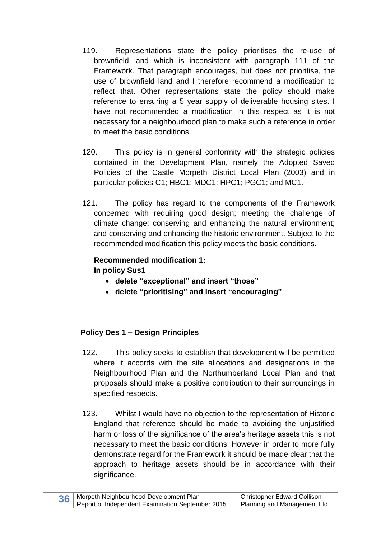- 119. Representations state the policy prioritises the re-use of brownfield land which is inconsistent with paragraph 111 of the Framework. That paragraph encourages, but does not prioritise, the use of brownfield land and I therefore recommend a modification to reflect that. Other representations state the policy should make reference to ensuring a 5 year supply of deliverable housing sites. I have not recommended a modification in this respect as it is not necessary for a neighbourhood plan to make such a reference in order to meet the basic conditions.
- 120. This policy is in general conformity with the strategic policies contained in the Development Plan, namely the Adopted Saved Policies of the Castle Morpeth District Local Plan (2003) and in particular policies C1; HBC1; MDC1; HPC1; PGC1; and MC1.
- 121. The policy has regard to the components of the Framework concerned with requiring good design; meeting the challenge of climate change; conserving and enhancing the natural environment; and conserving and enhancing the historic environment. Subject to the recommended modification this policy meets the basic conditions.

#### **Recommended modification 1: In policy Sus1**

- **delete "exceptional" and insert "those"**
- **delete "prioritising" and insert "encouraging"**

#### **Policy Des 1 – Design Principles**

- 122. This policy seeks to establish that development will be permitted where it accords with the site allocations and designations in the Neighbourhood Plan and the Northumberland Local Plan and that proposals should make a positive contribution to their surroundings in specified respects.
- 123. Whilst I would have no objection to the representation of Historic England that reference should be made to avoiding the unjustified harm or loss of the significance of the area's heritage assets this is not necessary to meet the basic conditions. However in order to more fully demonstrate regard for the Framework it should be made clear that the approach to heritage assets should be in accordance with their significance.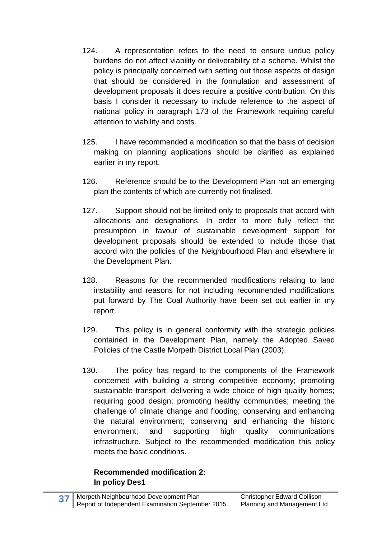- 124. A representation refers to the need to ensure undue policy burdens do not affect viability or deliverability of a scheme. Whilst the policy is principally concerned with setting out those aspects of design that should be considered in the formulation and assessment of development proposals it does require a positive contribution. On this basis I consider it necessary to include reference to the aspect of national policy in paragraph 173 of the Framework requiring careful attention to viability and costs.
- 125. I have recommended a modification so that the basis of decision making on planning applications should be clarified as explained earlier in my report.
- 126. Reference should be to the Development Plan not an emerging plan the contents of which are currently not finalised.
- 127. Support should not be limited only to proposals that accord with allocations and designations. In order to more fully reflect the presumption in favour of sustainable development support for development proposals should be extended to include those that accord with the policies of the Neighbourhood Plan and elsewhere in the Development Plan.
- 128. Reasons for the recommended modifications relating to land instability and reasons for not including recommended modifications put forward by The Coal Authority have been set out earlier in my report.
- 129. This policy is in general conformity with the strategic policies contained in the Development Plan, namely the Adopted Saved Policies of the Castle Morpeth District Local Plan (2003).
- 130. The policy has regard to the components of the Framework concerned with building a strong competitive economy; promoting sustainable transport; delivering a wide choice of high quality homes; requiring good design; promoting healthy communities; meeting the challenge of climate change and flooding; conserving and enhancing the natural environment; conserving and enhancing the historic environment; and supporting high quality communications infrastructure. Subject to the recommended modification this policy meets the basic conditions.

#### **Recommended modification 2: In policy Des1**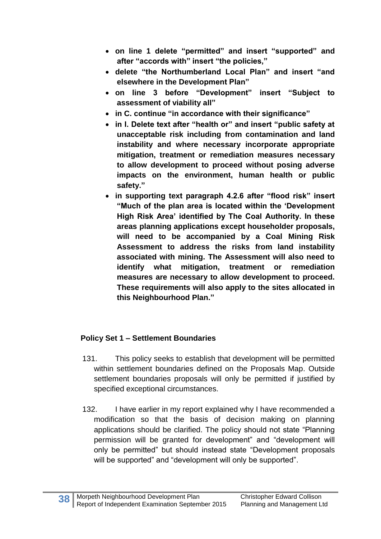- **on line 1 delete "permitted" and insert "supported" and after "accords with" insert "the policies,"**
- **delete "the Northumberland Local Plan" and insert "and elsewhere in the Development Plan"**
- **on line 3 before "Development" insert "Subject to assessment of viability all"**
- **in C. continue "in accordance with their significance"**
- **in I. Delete text after "health or" and insert "public safety at unacceptable risk including from contamination and land instability and where necessary incorporate appropriate mitigation, treatment or remediation measures necessary to allow development to proceed without posing adverse impacts on the environment, human health or public safety."**
- **in supporting text paragraph 4.2.6 after "flood risk" insert "Much of the plan area is located within the 'Development High Risk Area' identified by The Coal Authority. In these areas planning applications except householder proposals, will need to be accompanied by a Coal Mining Risk Assessment to address the risks from land instability associated with mining. The Assessment will also need to identify what mitigation, treatment or remediation measures are necessary to allow development to proceed. These requirements will also apply to the sites allocated in this Neighbourhood Plan."**

#### **Policy Set 1 – Settlement Boundaries**

- 131. This policy seeks to establish that development will be permitted within settlement boundaries defined on the Proposals Map. Outside settlement boundaries proposals will only be permitted if justified by specified exceptional circumstances.
- 132. I have earlier in my report explained why I have recommended a modification so that the basis of decision making on planning applications should be clarified. The policy should not state "Planning permission will be granted for development" and "development will only be permitted" but should instead state "Development proposals will be supported" and "development will only be supported".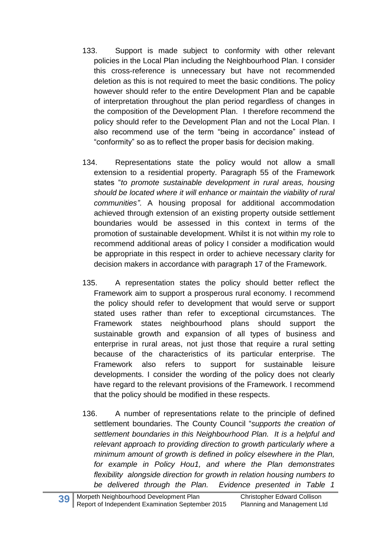- 133. Support is made subject to conformity with other relevant policies in the Local Plan including the Neighbourhood Plan. I consider this cross-reference is unnecessary but have not recommended deletion as this is not required to meet the basic conditions. The policy however should refer to the entire Development Plan and be capable of interpretation throughout the plan period regardless of changes in the composition of the Development Plan. I therefore recommend the policy should refer to the Development Plan and not the Local Plan. I also recommend use of the term "being in accordance" instead of "conformity" so as to reflect the proper basis for decision making.
- 134. Representations state the policy would not allow a small extension to a residential property. Paragraph 55 of the Framework states "*to promote sustainable development in rural areas, housing should be located where it will enhance or maintain the viability of rural communities"*. A housing proposal for additional accommodation achieved through extension of an existing property outside settlement boundaries would be assessed in this context in terms of the promotion of sustainable development. Whilst it is not within my role to recommend additional areas of policy I consider a modification would be appropriate in this respect in order to achieve necessary clarity for decision makers in accordance with paragraph 17 of the Framework.
- 135. A representation states the policy should better reflect the Framework aim to support a prosperous rural economy. I recommend the policy should refer to development that would serve or support stated uses rather than refer to exceptional circumstances. The Framework states neighbourhood plans should support the sustainable growth and expansion of all types of business and enterprise in rural areas, not just those that require a rural setting because of the characteristics of its particular enterprise. The Framework also refers to support for sustainable leisure developments. I consider the wording of the policy does not clearly have regard to the relevant provisions of the Framework. I recommend that the policy should be modified in these respects.
- 136. A number of representations relate to the principle of defined settlement boundaries. The County Council "*supports the creation of settlement boundaries in this Neighbourhood Plan. It is a helpful and relevant approach to providing direction to growth particularly where a minimum amount of growth is defined in policy elsewhere in the Plan, for example in Policy Hou1, and where the Plan demonstrates flexibility alongside direction for growth in relation housing numbers to be delivered through the Plan. Evidence presented in Table 1*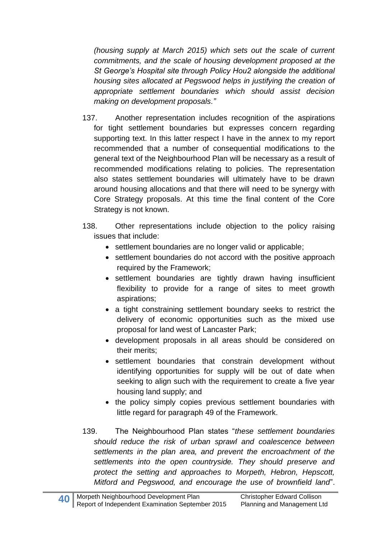*(housing supply at March 2015) which sets out the scale of current commitments, and the scale of housing development proposed at the St George's Hospital site through Policy Hou2 alongside the additional housing sites allocated at Pegswood helps in justifying the creation of appropriate settlement boundaries which should assist decision making on development proposals."*

- 137. Another representation includes recognition of the aspirations for tight settlement boundaries but expresses concern regarding supporting text. In this latter respect I have in the annex to my report recommended that a number of consequential modifications to the general text of the Neighbourhood Plan will be necessary as a result of recommended modifications relating to policies. The representation also states settlement boundaries will ultimately have to be drawn around housing allocations and that there will need to be synergy with Core Strategy proposals. At this time the final content of the Core Strategy is not known.
- 138. Other representations include objection to the policy raising issues that include:
	- settlement boundaries are no longer valid or applicable;
	- settlement boundaries do not accord with the positive approach required by the Framework;
	- settlement boundaries are tightly drawn having insufficient flexibility to provide for a range of sites to meet growth aspirations;
	- a tight constraining settlement boundary seeks to restrict the delivery of economic opportunities such as the mixed use proposal for land west of Lancaster Park;
	- development proposals in all areas should be considered on their merits;
	- settlement boundaries that constrain development without identifying opportunities for supply will be out of date when seeking to align such with the requirement to create a five year housing land supply; and
	- the policy simply copies previous settlement boundaries with little regard for paragraph 49 of the Framework.
- 139. The Neighbourhood Plan states "*these settlement boundaries should reduce the risk of urban sprawl and coalescence between settlements in the plan area, and prevent the encroachment of the settlements into the open countryside. They should preserve and protect the setting and approaches to Morpeth, Hebron, Hepscott, Mitford and Pegswood, and encourage the use of brownfield land*".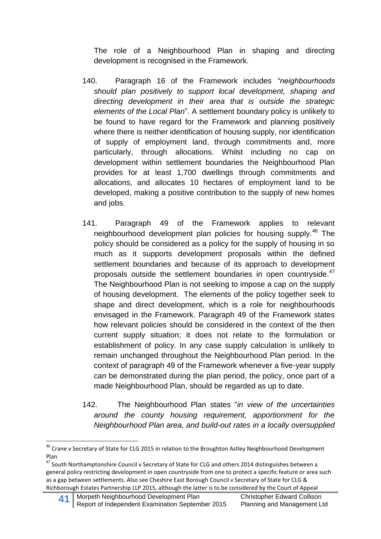The role of a Neighbourhood Plan in shaping and directing development is recognised in the Framework.

- 140. Paragraph 16 of the Framework includes *"neighbourhoods should plan positively to support local development, shaping and directing development in their area that is outside the strategic elements of the Local Plan*". A settlement boundary policy is unlikely to be found to have regard for the Framework and planning positively where there is neither identification of housing supply, nor identification of supply of employment land, through commitments and, more particularly, through allocations. Whilst including no cap on development within settlement boundaries the Neighbourhood Plan provides for at least 1,700 dwellings through commitments and allocations, and allocates 10 hectares of employment land to be developed, making a positive contribution to the supply of new homes and jobs.
- 141. Paragraph 49 of the Framework applies to relevant neighbourhood development plan policies for housing supply.<sup>46</sup> The policy should be considered as a policy for the supply of housing in so much as it supports development proposals within the defined settlement boundaries and because of its approach to development proposals outside the settlement boundaries in open countryside.<sup>47</sup> The Neighbourhood Plan is not seeking to impose a cap on the supply of housing development. The elements of the policy together seek to shape and direct development, which is a role for neighbourhoods envisaged in the Framework. Paragraph 49 of the Framework states how relevant policies should be considered in the context of the then current supply situation; it does not relate to the formulation or establishment of policy. In any case supply calculation is unlikely to remain unchanged throughout the Neighbourhood Plan period. In the context of paragraph 49 of the Framework whenever a five-year supply can be demonstrated during the plan period, the policy, once part of a made Neighbourhood Plan, should be regarded as up to date.
- 142. The Neighbourhood Plan states "*in view of the uncertainties around the county housing requirement, apportionment for the Neighbourhood Plan area, and build-out rates in a locally oversupplied*

<sup>1</sup> <sup>46</sup> Crane v Secretary of State for CLG 2015 in relation to the Broughton Astley Neighbourhood Development Plan

<sup>47</sup> South Northamptonshire Council v Secretary of State for CLG and others 2014 distinguishes between a general policy restricting development in open countryside from one to protect a specific feature or area such as a gap between settlements. Also see Cheshire East Borough Council v Secretary of State for CLG & Richborough Estates Partnership LLP 2015, although the latter is to be considered by the Court of Appeal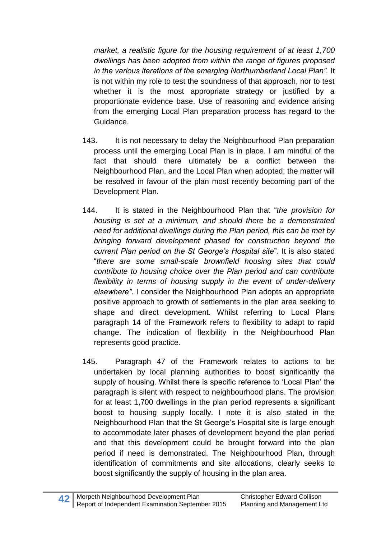*market, a realistic figure for the housing requirement of at least 1,700 dwellings has been adopted from within the range of figures proposed in the various iterations of the emerging Northumberland Local Plan".* It is not within my role to test the soundness of that approach, nor to test whether it is the most appropriate strategy or justified by a proportionate evidence base. Use of reasoning and evidence arising from the emerging Local Plan preparation process has regard to the Guidance.

- 143. It is not necessary to delay the Neighbourhood Plan preparation process until the emerging Local Plan is in place. I am mindful of the fact that should there ultimately be a conflict between the Neighbourhood Plan, and the Local Plan when adopted; the matter will be resolved in favour of the plan most recently becoming part of the Development Plan.
- 144. It is stated in the Neighbourhood Plan that "*the provision for housing is set at a minimum, and should there be a demonstrated need for additional dwellings during the Plan period, this can be met by bringing forward development phased for construction beyond the current Plan period on the St George's Hospital site*". It is also stated "*there are some small-scale brownfield housing sites that could contribute to housing choice over the Plan period and can contribute flexibility in terms of housing supply in the event of under-delivery elsewhere"*. I consider the Neighbourhood Plan adopts an appropriate positive approach to growth of settlements in the plan area seeking to shape and direct development. Whilst referring to Local Plans paragraph 14 of the Framework refers to flexibility to adapt to rapid change. The indication of flexibility in the Neighbourhood Plan represents good practice.
- 145. Paragraph 47 of the Framework relates to actions to be undertaken by local planning authorities to boost significantly the supply of housing. Whilst there is specific reference to 'Local Plan' the paragraph is silent with respect to neighbourhood plans. The provision for at least 1,700 dwellings in the plan period represents a significant boost to housing supply locally. I note it is also stated in the Neighbourhood Plan that the St George's Hospital site is large enough to accommodate later phases of development beyond the plan period and that this development could be brought forward into the plan period if need is demonstrated. The Neighbourhood Plan, through identification of commitments and site allocations, clearly seeks to boost significantly the supply of housing in the plan area.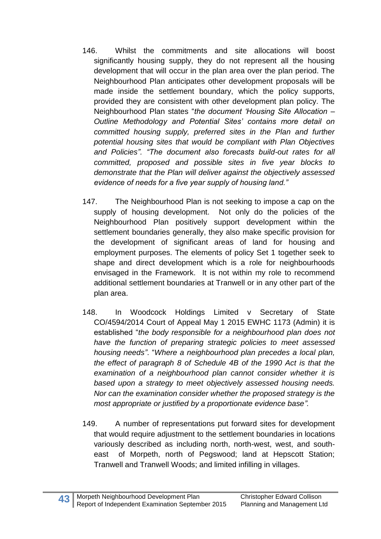- 146. Whilst the commitments and site allocations will boost significantly housing supply, they do not represent all the housing development that will occur in the plan area over the plan period. The Neighbourhood Plan anticipates other development proposals will be made inside the settlement boundary, which the policy supports, provided they are consistent with other development plan policy. The Neighbourhood Plan states "*the document 'Housing Site Allocation – Outline Methodology and Potential Sites' contains more detail on committed housing supply, preferred sites in the Plan and further potential housing sites that would be compliant with Plan Objectives and Policies". "The document also forecasts build-out rates for all committed, proposed and possible sites in five year blocks to demonstrate that the Plan will deliver against the objectively assessed evidence of needs for a five year supply of housing land."*
- 147. The Neighbourhood Plan is not seeking to impose a cap on the supply of housing development. Not only do the policies of the Neighbourhood Plan positively support development within the settlement boundaries generally, they also make specific provision for the development of significant areas of land for housing and employment purposes. The elements of policy Set 1 together seek to shape and direct development which is a role for neighbourhoods envisaged in the Framework. It is not within my role to recommend additional settlement boundaries at Tranwell or in any other part of the plan area.
- 148. In Woodcock Holdings Limited v Secretary of State CO/4594/2014 Court of Appeal May 1 2015 EWHC 1173 (Admin) it is established "*the body responsible for a neighbourhood plan does not have the function of preparing strategic policies to meet assessed housing needs"*. "*Where a neighbourhood plan precedes a local plan, the effect of paragraph 8 of Schedule 4B of the 1990 Act is that the examination of a neighbourhood plan cannot consider whether it is based upon a strategy to meet objectively assessed housing needs. Nor can the examination consider whether the proposed strategy is the most appropriate or justified by a proportionate evidence base".*
- 149. A number of representations put forward sites for development that would require adjustment to the settlement boundaries in locations variously described as including north, north-west, west, and southeast of Morpeth, north of Pegswood; land at Hepscott Station; Tranwell and Tranwell Woods; and limited infilling in villages.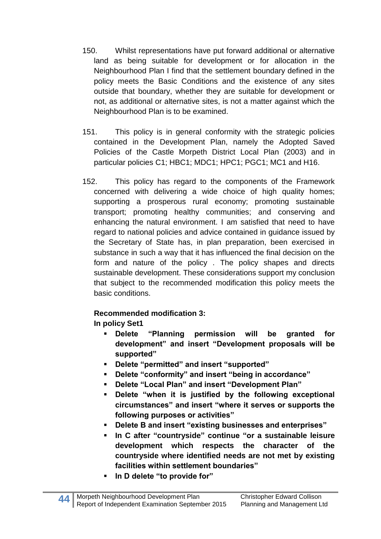- 150. Whilst representations have put forward additional or alternative land as being suitable for development or for allocation in the Neighbourhood Plan I find that the settlement boundary defined in the policy meets the Basic Conditions and the existence of any sites outside that boundary, whether they are suitable for development or not, as additional or alternative sites, is not a matter against which the Neighbourhood Plan is to be examined.
- 151. This policy is in general conformity with the strategic policies contained in the Development Plan, namely the Adopted Saved Policies of the Castle Morpeth District Local Plan (2003) and in particular policies C1; HBC1; MDC1; HPC1; PGC1; MC1 and H16.
- 152. This policy has regard to the components of the Framework concerned with delivering a wide choice of high quality homes; supporting a prosperous rural economy; promoting sustainable transport; promoting healthy communities; and conserving and enhancing the natural environment. I am satisfied that need to have regard to national policies and advice contained in guidance issued by the Secretary of State has, in plan preparation, been exercised in substance in such a way that it has influenced the final decision on the form and nature of the policy . The policy shapes and directs sustainable development. These considerations support my conclusion that subject to the recommended modification this policy meets the basic conditions.

### **Recommended modification 3:**

**In policy Set1**

- **Delete "Planning permission will be granted for development" and insert "Development proposals will be supported"**
- **Delete "permitted" and insert "supported"**
- **Delete "conformity" and insert "being in accordance"**
- **Delete "Local Plan" and insert "Development Plan"**
- **Delete "when it is justified by the following exceptional circumstances" and insert "where it serves or supports the following purposes or activities"**
- **Delete B and insert "existing businesses and enterprises"**
- **In C after "countryside" continue "or a sustainable leisure development which respects the character of the countryside where identified needs are not met by existing facilities within settlement boundaries"**
- **In D delete "to provide for"**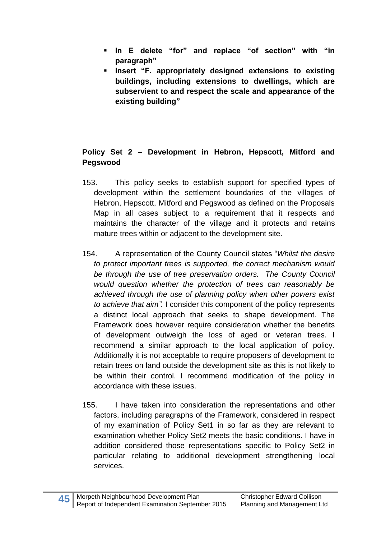- **In E delete "for" and replace "of section" with "in paragraph"**
- **Insert "F. appropriately designed extensions to existing buildings, including extensions to dwellings, which are subservient to and respect the scale and appearance of the existing building"**

### **Policy Set 2 – Development in Hebron, Hepscott, Mitford and Pegswood**

- 153. This policy seeks to establish support for specified types of development within the settlement boundaries of the villages of Hebron, Hepscott, Mitford and Pegswood as defined on the Proposals Map in all cases subject to a requirement that it respects and maintains the character of the village and it protects and retains mature trees within or adjacent to the development site.
- 154. A representation of the County Council states "*Whilst the desire to protect important trees is supported, the correct mechanism would be through the use of tree preservation orders. The County Council would question whether the protection of trees can reasonably be achieved through the use of planning policy when other powers exist to achieve that aim".* I consider this component of the policy represents a distinct local approach that seeks to shape development. The Framework does however require consideration whether the benefits of development outweigh the loss of aged or veteran trees. I recommend a similar approach to the local application of policy. Additionally it is not acceptable to require proposers of development to retain trees on land outside the development site as this is not likely to be within their control. I recommend modification of the policy in accordance with these issues.
- 155. I have taken into consideration the representations and other factors, including paragraphs of the Framework, considered in respect of my examination of Policy Set1 in so far as they are relevant to examination whether Policy Set2 meets the basic conditions. I have in addition considered those representations specific to Policy Set2 in particular relating to additional development strengthening local services.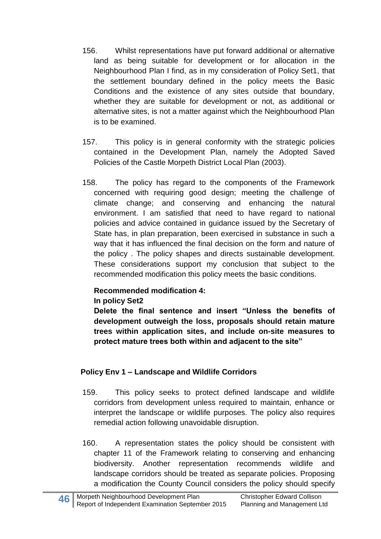- 156. Whilst representations have put forward additional or alternative land as being suitable for development or for allocation in the Neighbourhood Plan I find, as in my consideration of Policy Set1, that the settlement boundary defined in the policy meets the Basic Conditions and the existence of any sites outside that boundary, whether they are suitable for development or not, as additional or alternative sites, is not a matter against which the Neighbourhood Plan is to be examined.
- 157. This policy is in general conformity with the strategic policies contained in the Development Plan, namely the Adopted Saved Policies of the Castle Morpeth District Local Plan (2003).
- 158. The policy has regard to the components of the Framework concerned with requiring good design; meeting the challenge of climate change; and conserving and enhancing the natural environment. I am satisfied that need to have regard to national policies and advice contained in guidance issued by the Secretary of State has, in plan preparation, been exercised in substance in such a way that it has influenced the final decision on the form and nature of the policy . The policy shapes and directs sustainable development. These considerations support my conclusion that subject to the recommended modification this policy meets the basic conditions.

# **Recommended modification 4:**

#### **In policy Set2**

**Delete the final sentence and insert "Unless the benefits of development outweigh the loss, proposals should retain mature trees within application sites, and include on-site measures to protect mature trees both within and adjacent to the site"** 

### **Policy Env 1 – Landscape and Wildlife Corridors**

- 159. This policy seeks to protect defined landscape and wildlife corridors from development unless required to maintain, enhance or interpret the landscape or wildlife purposes. The policy also requires remedial action following unavoidable disruption.
- 160. A representation states the policy should be consistent with chapter 11 of the Framework relating to conserving and enhancing biodiversity. Another representation recommends wildlife and landscape corridors should be treated as separate policies. Proposing a modification the County Council considers the policy should specify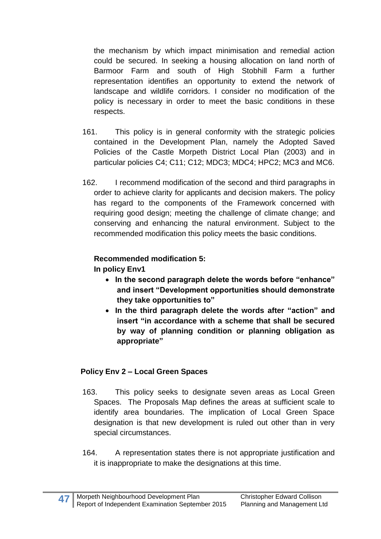the mechanism by which impact minimisation and remedial action could be secured. In seeking a housing allocation on land north of Barmoor Farm and south of High Stobhill Farm a further representation identifies an opportunity to extend the network of landscape and wildlife corridors. I consider no modification of the policy is necessary in order to meet the basic conditions in these respects.

- 161. This policy is in general conformity with the strategic policies contained in the Development Plan, namely the Adopted Saved Policies of the Castle Morpeth District Local Plan (2003) and in particular policies C4; C11; C12; MDC3; MDC4; HPC2; MC3 and MC6.
- 162. I recommend modification of the second and third paragraphs in order to achieve clarity for applicants and decision makers. The policy has regard to the components of the Framework concerned with requiring good design; meeting the challenge of climate change; and conserving and enhancing the natural environment. Subject to the recommended modification this policy meets the basic conditions.

# **Recommended modification 5:**

**In policy Env1**

- **In the second paragraph delete the words before "enhance" and insert "Development opportunities should demonstrate they take opportunities to"**
- **In the third paragraph delete the words after "action" and insert "in accordance with a scheme that shall be secured by way of planning condition or planning obligation as appropriate"**

# **Policy Env 2 – Local Green Spaces**

- 163. This policy seeks to designate seven areas as Local Green Spaces. The Proposals Map defines the areas at sufficient scale to identify area boundaries. The implication of Local Green Space designation is that new development is ruled out other than in very special circumstances.
- 164. A representation states there is not appropriate justification and it is inappropriate to make the designations at this time.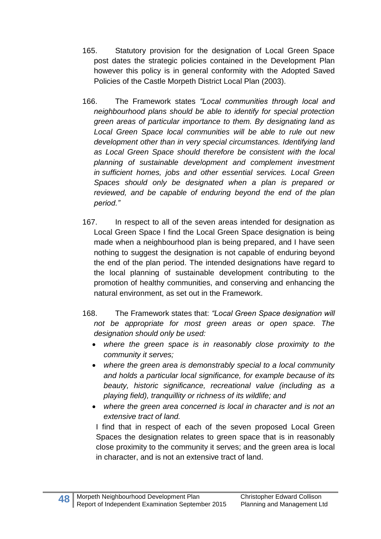- 165. Statutory provision for the designation of Local Green Space post dates the strategic policies contained in the Development Plan however this policy is in general conformity with the Adopted Saved Policies of the Castle Morpeth District Local Plan (2003).
- 166. The Framework states *"Local communities through local and neighbourhood plans should be able to identify for special protection green areas of particular importance to them. By designating land as Local Green Space local communities will be able to rule out new development other than in very special circumstances. Identifying land as Local Green Space should therefore be consistent with the local planning of sustainable development and complement investment in sufficient homes, jobs and other essential services. Local Green Spaces should only be designated when a plan is prepared or reviewed, and be capable of enduring beyond the end of the plan period."*
- 167. In respect to all of the seven areas intended for designation as Local Green Space I find the Local Green Space designation is being made when a neighbourhood plan is being prepared, and I have seen nothing to suggest the designation is not capable of enduring beyond the end of the plan period. The intended designations have regard to the local planning of sustainable development contributing to the promotion of healthy communities, and conserving and enhancing the natural environment, as set out in the Framework.
- 168. The Framework states that: *"Local Green Space designation will not be appropriate for most green areas or open space. The designation should only be used:* 
	- *where the green space is in reasonably close proximity to the community it serves;*
	- *where the green area is demonstrably special to a local community and holds a particular local significance, for example because of its beauty, historic significance, recreational value (including as a playing field), tranquillity or richness of its wildlife; and*
	- *where the green area concerned is local in character and is not an extensive tract of land.*

I find that in respect of each of the seven proposed Local Green Spaces the designation relates to green space that is in reasonably close proximity to the community it serves; and the green area is local in character, and is not an extensive tract of land.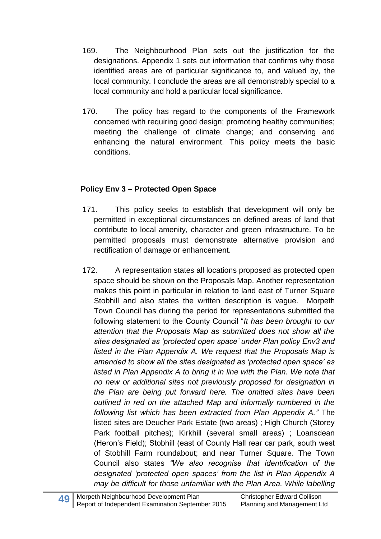- 169. The Neighbourhood Plan sets out the justification for the designations. Appendix 1 sets out information that confirms why those identified areas are of particular significance to, and valued by, the local community. I conclude the areas are all demonstrably special to a local community and hold a particular local significance.
- 170. The policy has regard to the components of the Framework concerned with requiring good design; promoting healthy communities; meeting the challenge of climate change; and conserving and enhancing the natural environment. This policy meets the basic conditions.

### **Policy Env 3 – Protected Open Space**

- 171. This policy seeks to establish that development will only be permitted in exceptional circumstances on defined areas of land that contribute to local amenity, character and green infrastructure. To be permitted proposals must demonstrate alternative provision and rectification of damage or enhancement.
- 172. A representation states all locations proposed as protected open space should be shown on the Proposals Map. Another representation makes this point in particular in relation to land east of Turner Square Stobhill and also states the written description is vague. Morpeth Town Council has during the period for representations submitted the following statement to the County Council "*It has been brought to our attention that the Proposals Map as submitted does not show all the sites designated as 'protected open space' under Plan policy Env3 and listed in the Plan Appendix A. We request that the Proposals Map is amended to show all the sites designated as 'protected open space' as*  listed in Plan Appendix A to bring it in line with the Plan. We note that *no new or additional sites not previously proposed for designation in the Plan are being put forward here. The omitted sites have been outlined in red on the attached Map and informally numbered in the following list which has been extracted from Plan Appendix A."* The listed sites are Deucher Park Estate (two areas) ; High Church (Storey Park football pitches); Kirkhill (several small areas) ; Loansdean (Heron's Field); Stobhill (east of County Hall rear car park, south west of Stobhill Farm roundabout; and near Turner Square. The Town Council also states *"We also recognise that identification of the designated 'protected open spaces' from the list in Plan Appendix A may be difficult for those unfamiliar with the Plan Area. While labelling*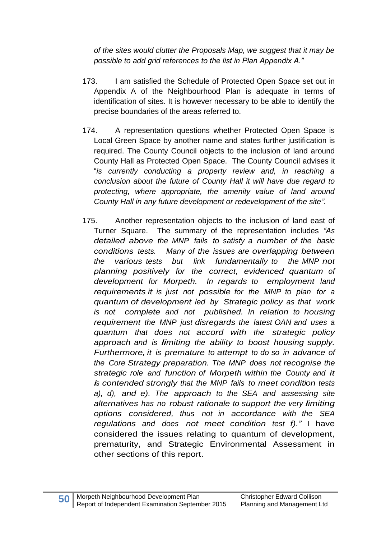*of the sites would clutter the Proposals Map, we suggest that it may be possible to add grid references to the list in Plan Appendix A."*

- 173. I am satisfied the Schedule of Protected Open Space set out in Appendix A of the Neighbourhood Plan is adequate in terms of identification of sites. It is however necessary to be able to identify the precise boundaries of the areas referred to.
- 174. A representation questions whether Protected Open Space is Local Green Space by another name and states further justification is required. The County Council objects to the inclusion of land around County Hall as Protected Open Space. The County Council advises it "*is currently conducting a property review and, in reaching a conclusion about the future of County Hall it will have due regard to protecting, where appropriate, the amenity value of land around County Hall in any future development or redevelopment of the site".*
- 175. Another representation objects to the inclusion of land east of Turner Square. The summary of the representation includes *"As detailed above the MNP fails to satisfy a number of the basic conditions tests. Many of the issues are overlapping between the various tests but link fundamentally to the MNP not planning positively for the correct, evidenced quantum of development for Morpeth. In regards to employment land requirements it is just not possible for the MNP to plan for a quantum of development led by Strategic policy as that work is not complete and not published. In relation to housing requirement the MNP just disregards the latest OAN and uses a quantum that does not accord with the strategic policy approach and is limiting the ability to boost housing supply. Furthermore, it is premature to attempt to do so in advance of the Core Strategy preparation. The MNP does not recognise the strategic role and function of Morpeth within the County and it is contended strongly that the MNP fails to meet condition tests a), d), and e). The approach to the SEA and assessing site alternatives has no robust rationale to support the very limiting options considered, thus not in accordance with the SEA regulations and does not meet condition test f)."* I have considered the issues relating to quantum of development, prematurity, and Strategic Environmental Assessment in other sections of this report.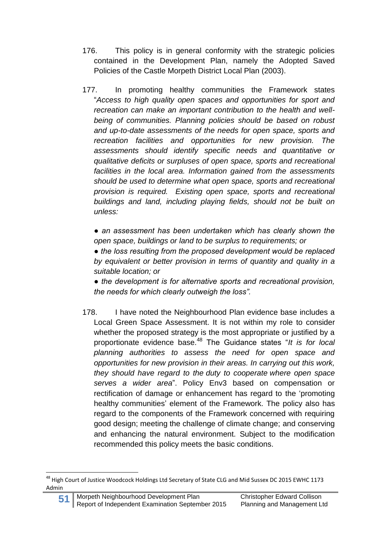- 176. This policy is in general conformity with the strategic policies contained in the Development Plan, namely the Adopted Saved Policies of the Castle Morpeth District Local Plan (2003).
- 177. In promoting healthy communities the Framework states "*Access to high quality open spaces and opportunities for sport and recreation can make an important contribution to the health and wellbeing of communities. Planning policies should be based on robust and up-to-date assessments of the needs for open space, sports and recreation facilities and opportunities for new provision. The assessments should identify specific needs and quantitative or qualitative deficits or surpluses of open space, sports and recreational facilities in the local area. Information gained from the assessments should be used to determine what open space, sports and recreational provision is required. Existing open space, sports and recreational buildings and land, including playing fields, should not be built on unless:* 
	- *an assessment has been undertaken which has clearly shown the open space, buildings or land to be surplus to requirements; or*

*● the loss resulting from the proposed development would be replaced by equivalent or better provision in terms of quantity and quality in a suitable location; or* 

*● the development is for alternative sports and recreational provision, the needs for which clearly outweigh the loss".*

178. I have noted the Neighbourhood Plan evidence base includes a Local Green Space Assessment. It is not within my role to consider whether the proposed strategy is the most appropriate or justified by a proportionate evidence base.<sup>48</sup> The Guidance states "*It is for local planning authorities to assess the need for open space and opportunities for new provision in their areas. In carrying out this work, they should have regard to the duty to cooperate where open space serves a wider area*". Policy Env3 based on compensation or rectification of damage or enhancement has regard to the 'promoting healthy communities' element of the Framework. The policy also has regard to the components of the Framework concerned with requiring good design; meeting the challenge of climate change; and conserving and enhancing the natural environment. Subject to the modification recommended this policy meets the basic conditions.

**<sup>.</sup>** <sup>48</sup> High Court of Justice Woodcock Holdings Ltd Secretary of State CLG and Mid Sussex DC 2015 EWHC 1173 Admin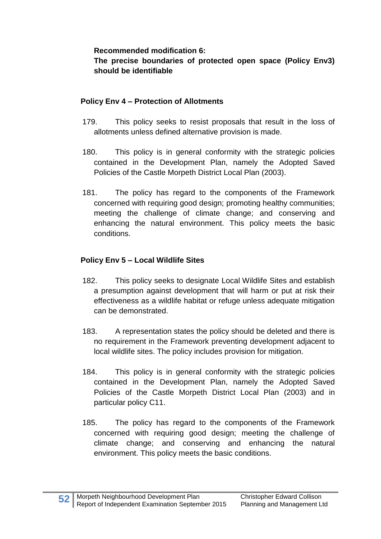#### **Recommended modification 6:**

### **The precise boundaries of protected open space (Policy Env3) should be identifiable**

### **Policy Env 4 – Protection of Allotments**

- 179. This policy seeks to resist proposals that result in the loss of allotments unless defined alternative provision is made.
- 180. This policy is in general conformity with the strategic policies contained in the Development Plan, namely the Adopted Saved Policies of the Castle Morpeth District Local Plan (2003).
- 181. The policy has regard to the components of the Framework concerned with requiring good design; promoting healthy communities; meeting the challenge of climate change; and conserving and enhancing the natural environment. This policy meets the basic conditions.

# **Policy Env 5 – Local Wildlife Sites**

- 182. This policy seeks to designate Local Wildlife Sites and establish a presumption against development that will harm or put at risk their effectiveness as a wildlife habitat or refuge unless adequate mitigation can be demonstrated.
- 183. A representation states the policy should be deleted and there is no requirement in the Framework preventing development adjacent to local wildlife sites. The policy includes provision for mitigation.
- 184. This policy is in general conformity with the strategic policies contained in the Development Plan, namely the Adopted Saved Policies of the Castle Morpeth District Local Plan (2003) and in particular policy C11.
- 185. The policy has regard to the components of the Framework concerned with requiring good design; meeting the challenge of climate change; and conserving and enhancing the natural environment. This policy meets the basic conditions.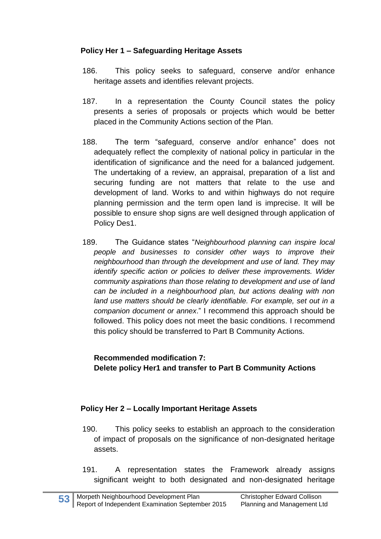### **Policy Her 1 – Safeguarding Heritage Assets**

- 186. This policy seeks to safeguard, conserve and/or enhance heritage assets and identifies relevant projects.
- 187. In a representation the County Council states the policy presents a series of proposals or projects which would be better placed in the Community Actions section of the Plan.
- 188. The term "safeguard, conserve and/or enhance" does not adequately reflect the complexity of national policy in particular in the identification of significance and the need for a balanced judgement. The undertaking of a review, an appraisal, preparation of a list and securing funding are not matters that relate to the use and development of land. Works to and within highways do not require planning permission and the term open land is imprecise. It will be possible to ensure shop signs are well designed through application of Policy Des1.
- 189. The Guidance states "*Neighbourhood planning can inspire local people and businesses to consider other ways to improve their neighbourhood than through the development and use of land. They may identify specific action or policies to deliver these improvements. Wider community aspirations than those relating to development and use of land can be included in a neighbourhood plan, but actions dealing with non*  land use matters should be clearly identifiable. For example, set out in a *companion document or annex*." I recommend this approach should be followed. This policy does not meet the basic conditions. I recommend this policy should be transferred to Part B Community Actions.

**Recommended modification 7: Delete policy Her1 and transfer to Part B Community Actions**

### **Policy Her 2 – Locally Important Heritage Assets**

- 190. This policy seeks to establish an approach to the consideration of impact of proposals on the significance of non-designated heritage assets.
- 191. A representation states the Framework already assigns significant weight to both designated and non-designated heritage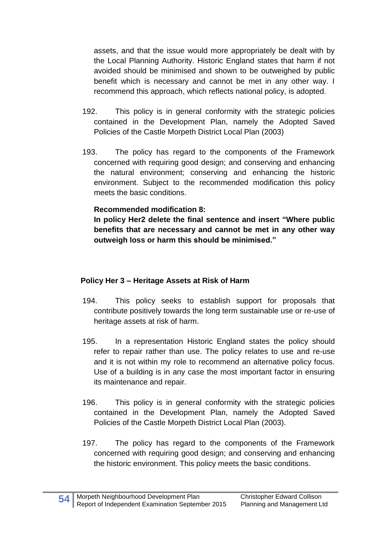assets, and that the issue would more appropriately be dealt with by the Local Planning Authority. Historic England states that harm if not avoided should be minimised and shown to be outweighed by public benefit which is necessary and cannot be met in any other way. I recommend this approach, which reflects national policy, is adopted.

- 192. This policy is in general conformity with the strategic policies contained in the Development Plan, namely the Adopted Saved Policies of the Castle Morpeth District Local Plan (2003)
- 193. The policy has regard to the components of the Framework concerned with requiring good design; and conserving and enhancing the natural environment; conserving and enhancing the historic environment. Subject to the recommended modification this policy meets the basic conditions.

#### **Recommended modification 8:**

**In policy Her2 delete the final sentence and insert "Where public benefits that are necessary and cannot be met in any other way outweigh loss or harm this should be minimised."**

#### **Policy Her 3 – Heritage Assets at Risk of Harm**

- 194. This policy seeks to establish support for proposals that contribute positively towards the long term sustainable use or re-use of heritage assets at risk of harm.
- 195. In a representation Historic England states the policy should refer to repair rather than use. The policy relates to use and re-use and it is not within my role to recommend an alternative policy focus. Use of a building is in any case the most important factor in ensuring its maintenance and repair.
- 196. This policy is in general conformity with the strategic policies contained in the Development Plan, namely the Adopted Saved Policies of the Castle Morpeth District Local Plan (2003).
- 197. The policy has regard to the components of the Framework concerned with requiring good design; and conserving and enhancing the historic environment. This policy meets the basic conditions.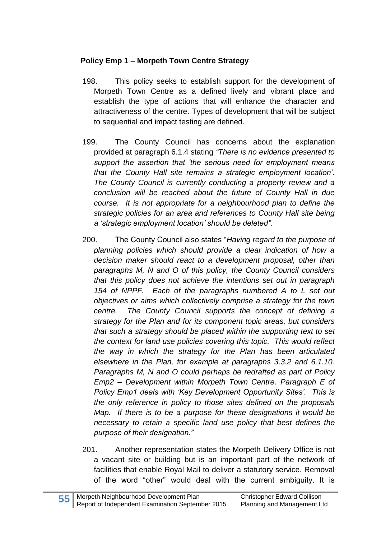### **Policy Emp 1 – Morpeth Town Centre Strategy**

- 198. This policy seeks to establish support for the development of Morpeth Town Centre as a defined lively and vibrant place and establish the type of actions that will enhance the character and attractiveness of the centre. Types of development that will be subject to sequential and impact testing are defined.
- 199. The County Council has concerns about the explanation provided at paragraph 6.1.4 stating *"There is no evidence presented to support the assertion that 'the serious need for employment means that the County Hall site remains a strategic employment location'. The County Council is currently conducting a property review and a conclusion will be reached about the future of County Hall in due course. It is not appropriate for a neighbourhood plan to define the strategic policies for an area and references to County Hall site being a 'strategic employment location' should be deleted".*
- 200. The County Council also states "*Having regard to the purpose of planning policies which should provide a clear indication of how a decision maker should react to a development proposal, other than paragraphs M, N and O of this policy, the County Council considers that this policy does not achieve the intentions set out in paragraph 154 of NPPF. Each of the paragraphs numbered A to L set out objectives or aims which collectively comprise a strategy for the town centre. The County Council supports the concept of defining a strategy for the Plan and for its component topic areas, but considers that such a strategy should be placed within the supporting text to set the context for land use policies covering this topic. This would reflect the way in which the strategy for the Plan has been articulated elsewhere in the Plan, for example at paragraphs 3.3.2 and 6.1.10. Paragraphs M, N and O could perhaps be redrafted as part of Policy Emp2 – Development within Morpeth Town Centre. Paragraph E of Policy Emp1 deals with 'Key Development Opportunity Sites'. This is the only reference in policy to those sites defined on the proposals Map. If there is to be a purpose for these designations it would be necessary to retain a specific land use policy that best defines the purpose of their designation."*
- 201. Another representation states the Morpeth Delivery Office is not a vacant site or building but is an important part of the network of facilities that enable Royal Mail to deliver a statutory service. Removal of the word "other" would deal with the current ambiguity. It is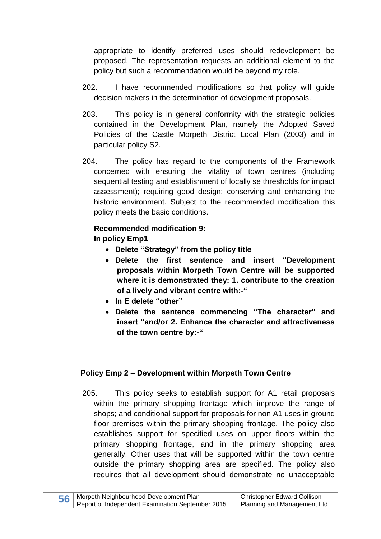appropriate to identify preferred uses should redevelopment be proposed. The representation requests an additional element to the policy but such a recommendation would be beyond my role.

- 202. I have recommended modifications so that policy will guide decision makers in the determination of development proposals.
- 203. This policy is in general conformity with the strategic policies contained in the Development Plan, namely the Adopted Saved Policies of the Castle Morpeth District Local Plan (2003) and in particular policy S2.
- 204. The policy has regard to the components of the Framework concerned with ensuring the vitality of town centres (including sequential testing and establishment of locally se thresholds for impact assessment); requiring good design; conserving and enhancing the historic environment. Subject to the recommended modification this policy meets the basic conditions.

#### **Recommended modification 9:**

**In policy Emp1**

- **Delete "Strategy" from the policy title**
- **Delete the first sentence and insert "Development proposals within Morpeth Town Centre will be supported where it is demonstrated they: 1. contribute to the creation of a lively and vibrant centre with:-"**
- **In E delete "other"**
- **Delete the sentence commencing "The character" and insert "and/or 2. Enhance the character and attractiveness of the town centre by:-"**

#### **Policy Emp 2 – Development within Morpeth Town Centre**

205. This policy seeks to establish support for A1 retail proposals within the primary shopping frontage which improve the range of shops; and conditional support for proposals for non A1 uses in ground floor premises within the primary shopping frontage. The policy also establishes support for specified uses on upper floors within the primary shopping frontage, and in the primary shopping area generally. Other uses that will be supported within the town centre outside the primary shopping area are specified. The policy also requires that all development should demonstrate no unacceptable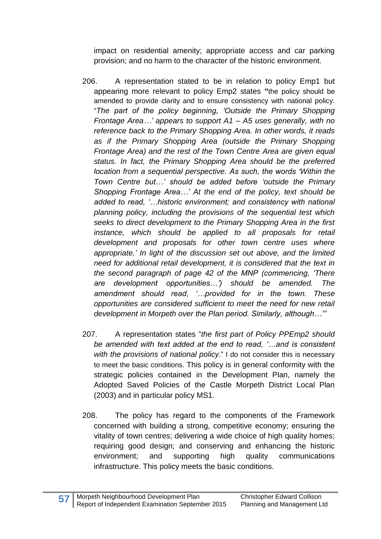impact on residential amenity; appropriate access and car parking provision; and no harm to the character of the historic environment.

- 206. A representation stated to be in relation to policy Emp1 but appearing more relevant to policy Emp2 states **"**the policy should be amended to provide clarity and to ensure consistency with national policy. "*The part of the policy beginning, 'Outside the Primary Shopping Frontage Area…' appears to support A1 – A5 uses generally, with no reference back to the Primary Shopping Area. In other words, it reads as if the Primary Shopping Area (outside the Primary Shopping Frontage Area) and the rest of the Town Centre Area are given equal status. In fact, the Primary Shopping Area should be the preferred location from a sequential perspective. As such, the words 'Within the Town Centre but…' should be added before 'outside the Primary Shopping Frontage Area…' At the end of the policy, text should be added to read, '…historic environment; and consistency with national planning policy, including the provisions of the sequential test which seeks to direct development to the Primary Shopping Area in the first instance, which should be applied to all proposals for retail development and proposals for other town centre uses where appropriate.' In light of the discussion set out above, and the limited need for additional retail development, it is considered that the text in the second paragraph of page 42 of the MNP (commencing, 'There are development opportunities…') should be amended. The amendment should read, '…provided for in the town. These opportunities are considered sufficient to meet the need for new retail development in Morpeth over the Plan period. Similarly, although…'"*
- 207. A representation states "*the first part of Policy PPEmp2 should be amended with text added at the end to read, '…and is consistent with the provisions of national policy*." I do not consider this is necessary to meet the basic conditions. This policy is in general conformity with the strategic policies contained in the Development Plan, namely the Adopted Saved Policies of the Castle Morpeth District Local Plan (2003) and in particular policy MS1.
- 208. The policy has regard to the components of the Framework concerned with building a strong, competitive economy; ensuring the vitality of town centres; delivering a wide choice of high quality homes; requiring good design; and conserving and enhancing the historic environment; and supporting high quality communications infrastructure. This policy meets the basic conditions.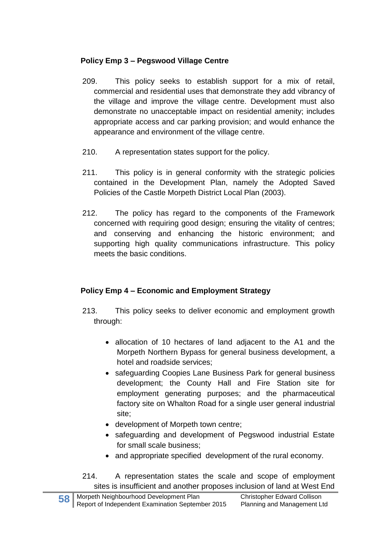### **Policy Emp 3 – Pegswood Village Centre**

- 209. This policy seeks to establish support for a mix of retail, commercial and residential uses that demonstrate they add vibrancy of the village and improve the village centre. Development must also demonstrate no unacceptable impact on residential amenity; includes appropriate access and car parking provision; and would enhance the appearance and environment of the village centre.
- 210. A representation states support for the policy.
- 211. This policy is in general conformity with the strategic policies contained in the Development Plan, namely the Adopted Saved Policies of the Castle Morpeth District Local Plan (2003).
- 212. The policy has regard to the components of the Framework concerned with requiring good design; ensuring the vitality of centres; and conserving and enhancing the historic environment; and supporting high quality communications infrastructure. This policy meets the basic conditions.

# **Policy Emp 4 – Economic and Employment Strategy**

- 213. This policy seeks to deliver economic and employment growth through:
	- allocation of 10 hectares of land adjacent to the A1 and the Morpeth Northern Bypass for general business development, a hotel and roadside services;
	- safeguarding Coopies Lane Business Park for general business development; the County Hall and Fire Station site for employment generating purposes; and the pharmaceutical factory site on Whalton Road for a single user general industrial site;
	- development of Morpeth town centre;
	- safeguarding and development of Pegswood industrial Estate for small scale business;
	- and appropriate specified development of the rural economy.
- 214. A representation states the scale and scope of employment sites is insufficient and another proposes inclusion of land at West End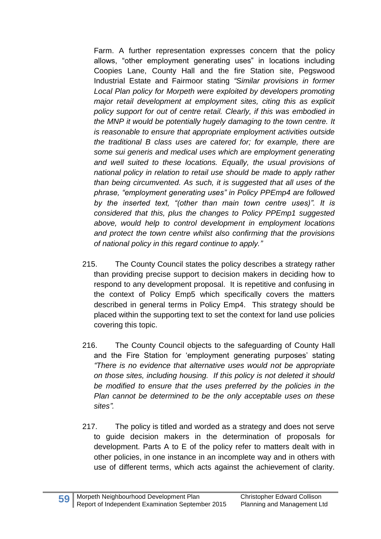Farm. A further representation expresses concern that the policy allows, "other employment generating uses" in locations including Coopies Lane, County Hall and the fire Station site, Pegswood Industrial Estate and Fairmoor stating *"Similar provisions in former Local Plan policy for Morpeth were exploited by developers promoting major retail development at employment sites, citing this as explicit policy support for out of centre retail. Clearly, if this was embodied in the MNP it would be potentially hugely damaging to the town centre. It is reasonable to ensure that appropriate employment activities outside the traditional B class uses are catered for; for example, there are some sui generis and medical uses which are employment generating and well suited to these locations. Equally, the usual provisions of national policy in relation to retail use should be made to apply rather than being circumvented. As such, it is suggested that all uses of the phrase, "employment generating uses" in Policy PPEmp4 are followed by the inserted text, "(other than main town centre uses)". It is considered that this, plus the changes to Policy PPEmp1 suggested above, would help to control development in employment locations and protect the town centre whilst also confirming that the provisions of national policy in this regard continue to apply."*

- 215. The County Council states the policy describes a strategy rather than providing precise support to decision makers in deciding how to respond to any development proposal. It is repetitive and confusing in the context of Policy Emp5 which specifically covers the matters described in general terms in Policy Emp4. This strategy should be placed within the supporting text to set the context for land use policies covering this topic.
- 216. The County Council objects to the safeguarding of County Hall and the Fire Station for 'employment generating purposes' stating *"There is no evidence that alternative uses would not be appropriate on those sites, including housing. If this policy is not deleted it should be modified to ensure that the uses preferred by the policies in the Plan cannot be determined to be the only acceptable uses on these sites".*
- 217. The policy is titled and worded as a strategy and does not serve to guide decision makers in the determination of proposals for development. Parts A to E of the policy refer to matters dealt with in other policies, in one instance in an incomplete way and in others with use of different terms, which acts against the achievement of clarity.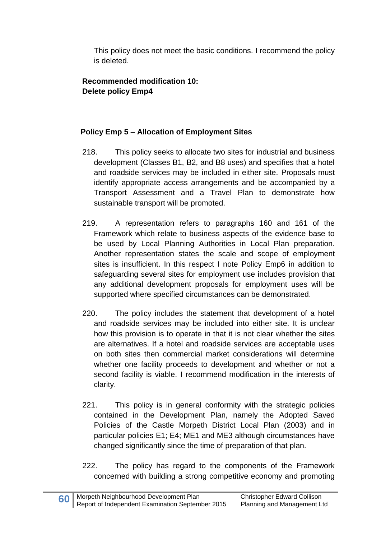This policy does not meet the basic conditions. I recommend the policy is deleted.

### **Recommended modification 10: Delete policy Emp4**

### **Policy Emp 5 – Allocation of Employment Sites**

- 218. This policy seeks to allocate two sites for industrial and business development (Classes B1, B2, and B8 uses) and specifies that a hotel and roadside services may be included in either site. Proposals must identify appropriate access arrangements and be accompanied by a Transport Assessment and a Travel Plan to demonstrate how sustainable transport will be promoted.
- 219. A representation refers to paragraphs 160 and 161 of the Framework which relate to business aspects of the evidence base to be used by Local Planning Authorities in Local Plan preparation. Another representation states the scale and scope of employment sites is insufficient. In this respect I note Policy Emp6 in addition to safeguarding several sites for employment use includes provision that any additional development proposals for employment uses will be supported where specified circumstances can be demonstrated.
- 220. The policy includes the statement that development of a hotel and roadside services may be included into either site. It is unclear how this provision is to operate in that it is not clear whether the sites are alternatives. If a hotel and roadside services are acceptable uses on both sites then commercial market considerations will determine whether one facility proceeds to development and whether or not a second facility is viable. I recommend modification in the interests of clarity.
- 221. This policy is in general conformity with the strategic policies contained in the Development Plan, namely the Adopted Saved Policies of the Castle Morpeth District Local Plan (2003) and in particular policies E1; E4; ME1 and ME3 although circumstances have changed significantly since the time of preparation of that plan.
- 222. The policy has regard to the components of the Framework concerned with building a strong competitive economy and promoting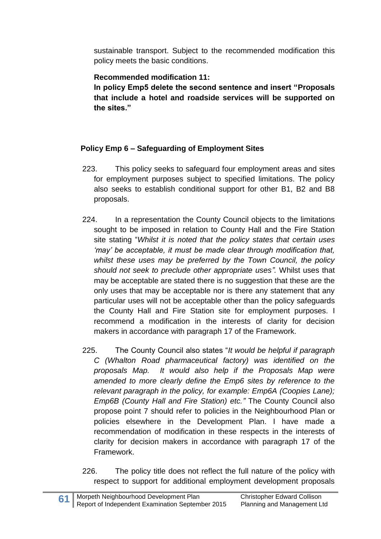sustainable transport. Subject to the recommended modification this policy meets the basic conditions.

### **Recommended modification 11:**

**In policy Emp5 delete the second sentence and insert "Proposals that include a hotel and roadside services will be supported on the sites."**

### **Policy Emp 6 – Safeguarding of Employment Sites**

- 223. This policy seeks to safeguard four employment areas and sites for employment purposes subject to specified limitations. The policy also seeks to establish conditional support for other B1, B2 and B8 proposals.
- 224. In a representation the County Council objects to the limitations sought to be imposed in relation to County Hall and the Fire Station site stating "*Whilst it is noted that the policy states that certain uses 'may' be acceptable, it must be made clear through modification that, whilst these uses may be preferred by the Town Council, the policy should not seek to preclude other appropriate uses".* Whilst uses that may be acceptable are stated there is no suggestion that these are the only uses that may be acceptable nor is there any statement that any particular uses will not be acceptable other than the policy safeguards the County Hall and Fire Station site for employment purposes. I recommend a modification in the interests of clarity for decision makers in accordance with paragraph 17 of the Framework.
- 225. The County Council also states "*It would be helpful if paragraph C (Whalton Road pharmaceutical factory) was identified on the proposals Map. It would also help if the Proposals Map were amended to more clearly define the Emp6 sites by reference to the relevant paragraph in the policy, for example: Emp6A (Coopies Lane); Emp6B (County Hall and Fire Station) etc."* The County Council also propose point 7 should refer to policies in the Neighbourhood Plan or policies elsewhere in the Development Plan. I have made a recommendation of modification in these respects in the interests of clarity for decision makers in accordance with paragraph 17 of the Framework.
- 226. The policy title does not reflect the full nature of the policy with respect to support for additional employment development proposals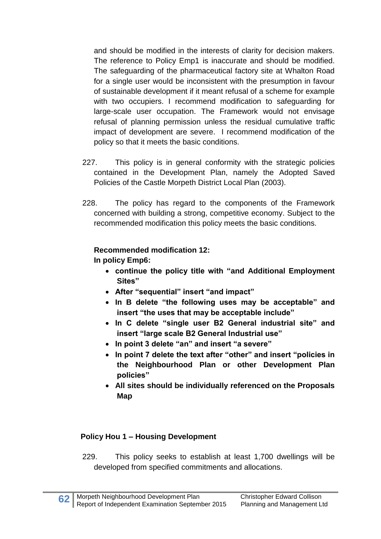and should be modified in the interests of clarity for decision makers. The reference to Policy Emp1 is inaccurate and should be modified. The safeguarding of the pharmaceutical factory site at Whalton Road for a single user would be inconsistent with the presumption in favour of sustainable development if it meant refusal of a scheme for example with two occupiers. I recommend modification to safeguarding for large-scale user occupation. The Framework would not envisage refusal of planning permission unless the residual cumulative traffic impact of development are severe. I recommend modification of the policy so that it meets the basic conditions.

- 227. This policy is in general conformity with the strategic policies contained in the Development Plan, namely the Adopted Saved Policies of the Castle Morpeth District Local Plan (2003).
- 228. The policy has regard to the components of the Framework concerned with building a strong, competitive economy. Subject to the recommended modification this policy meets the basic conditions.

## **Recommended modification 12:**

**In policy Emp6:**

- **continue the policy title with "and Additional Employment Sites"**
- **After "sequential" insert "and impact"**
- **In B delete "the following uses may be acceptable" and insert "the uses that may be acceptable include"**
- **In C delete "single user B2 General industrial site" and insert "large scale B2 General Industrial use"**
- **In point 3 delete "an" and insert "a severe"**
- **In point 7 delete the text after "other" and insert "policies in the Neighbourhood Plan or other Development Plan policies"**
- **All sites should be individually referenced on the Proposals Map**

# **Policy Hou 1 – Housing Development**

229. This policy seeks to establish at least 1,700 dwellings will be developed from specified commitments and allocations.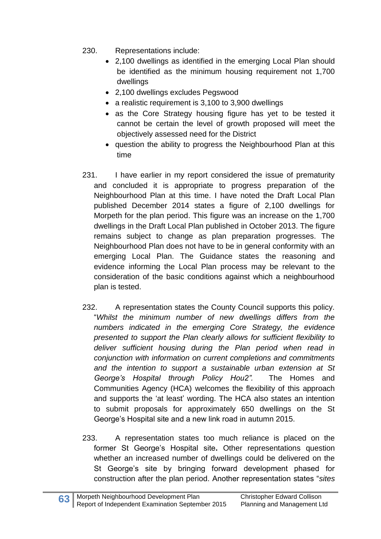- 230. Representations include:
	- 2,100 dwellings as identified in the emerging Local Plan should be identified as the minimum housing requirement not 1,700 dwellings
	- 2,100 dwellings excludes Pegswood
	- a realistic requirement is 3,100 to 3,900 dwellings
	- as the Core Strategy housing figure has yet to be tested it cannot be certain the level of growth proposed will meet the objectively assessed need for the District
	- question the ability to progress the Neighbourhood Plan at this time
- 231. I have earlier in my report considered the issue of prematurity and concluded it is appropriate to progress preparation of the Neighbourhood Plan at this time. I have noted the Draft Local Plan published December 2014 states a figure of 2,100 dwellings for Morpeth for the plan period. This figure was an increase on the 1,700 dwellings in the Draft Local Plan published in October 2013. The figure remains subject to change as plan preparation progresses. The Neighbourhood Plan does not have to be in general conformity with an emerging Local Plan. The Guidance states the reasoning and evidence informing the Local Plan process may be relevant to the consideration of the basic conditions against which a neighbourhood plan is tested.
- 232. A representation states the County Council supports this policy. "*Whilst the minimum number of new dwellings differs from the numbers indicated in the emerging Core Strategy, the evidence presented to support the Plan clearly allows for sufficient flexibility to deliver sufficient housing during the Plan period when read in conjunction with information on current completions and commitments and the intention to support a sustainable urban extension at St George's Hospital through Policy Hou2".* The Homes and Communities Agency (HCA) welcomes the flexibility of this approach and supports the 'at least' wording. The HCA also states an intention to submit proposals for approximately 650 dwellings on the St George's Hospital site and a new link road in autumn 2015.
- 233. A representation states too much reliance is placed on the former St George's Hospital site**.** Other representations question whether an increased number of dwellings could be delivered on the St George's site by bringing forward development phased for construction after the plan period. Another representation states "*sites*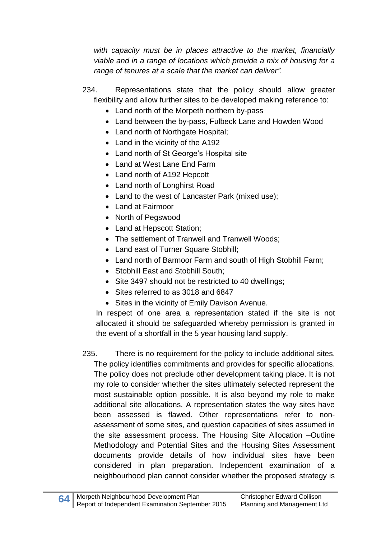*with capacity must be in places attractive to the market, financially viable and in a range of locations which provide a mix of housing for a range of tenures at a scale that the market can deliver".*

- 234. Representations state that the policy should allow greater flexibility and allow further sites to be developed making reference to:
	- Land north of the Morpeth northern by-pass
	- Land between the by-pass, Fulbeck Lane and Howden Wood
	- Land north of Northgate Hospital;
	- Land in the vicinity of the A192
	- Land north of St George's Hospital site
	- Land at West Lane End Farm
	- Land north of A192 Hepcott
	- Land north of Longhirst Road
	- Land to the west of Lancaster Park (mixed use);
	- Land at Fairmoor
	- North of Pegswood
	- Land at Hepscott Station;
	- The settlement of Tranwell and Tranwell Woods;
	- Land east of Turner Square Stobhill;
	- Land north of Barmoor Farm and south of High Stobhill Farm;
	- Stobhill East and Stobhill South:
	- Site 3497 should not be restricted to 40 dwellings;
	- Sites referred to as 3018 and 6847
	- Sites in the vicinity of Emily Davison Avenue.

In respect of one area a representation stated if the site is not allocated it should be safeguarded whereby permission is granted in the event of a shortfall in the 5 year housing land supply.

235. There is no requirement for the policy to include additional sites. The policy identifies commitments and provides for specific allocations. The policy does not preclude other development taking place. It is not my role to consider whether the sites ultimately selected represent the most sustainable option possible. It is also beyond my role to make additional site allocations. A representation states the way sites have been assessed is flawed. Other representations refer to nonassessment of some sites, and question capacities of sites assumed in the site assessment process. The Housing Site Allocation –Outline Methodology and Potential Sites and the Housing Sites Assessment documents provide details of how individual sites have been considered in plan preparation. Independent examination of a neighbourhood plan cannot consider whether the proposed strategy is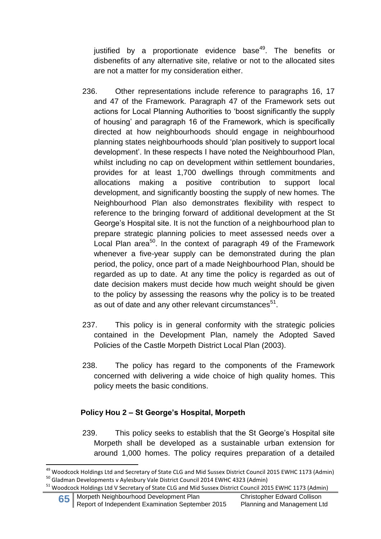justified by a proportionate evidence base<sup>49</sup>. The benefits or disbenefits of any alternative site, relative or not to the allocated sites are not a matter for my consideration either.

- 236. Other representations include reference to paragraphs 16, 17 and 47 of the Framework. Paragraph 47 of the Framework sets out actions for Local Planning Authorities to 'boost significantly the supply of housing' and paragraph 16 of the Framework, which is specifically directed at how neighbourhoods should engage in neighbourhood planning states neighbourhoods should 'plan positively to support local development'. In these respects I have noted the Neighbourhood Plan, whilst including no cap on development within settlement boundaries, provides for at least 1,700 dwellings through commitments and allocations making a positive contribution to support local development, and significantly boosting the supply of new homes. The Neighbourhood Plan also demonstrates flexibility with respect to reference to the bringing forward of additional development at the St George's Hospital site. It is not the function of a neighbourhood plan to prepare strategic planning policies to meet assessed needs over a Local Plan area<sup>50</sup>. In the context of paragraph 49 of the Framework whenever a five-year supply can be demonstrated during the plan period, the policy, once part of a made Neighbourhood Plan, should be regarded as up to date. At any time the policy is regarded as out of date decision makers must decide how much weight should be given to the policy by assessing the reasons why the policy is to be treated as out of date and any other relevant circumstances $^{\rm 51}.$
- 237. This policy is in general conformity with the strategic policies contained in the Development Plan, namely the Adopted Saved Policies of the Castle Morpeth District Local Plan (2003).
- 238. The policy has regard to the components of the Framework concerned with delivering a wide choice of high quality homes. This policy meets the basic conditions.

### **Policy Hou 2 – St George's Hospital, Morpeth**

239. This policy seeks to establish that the St George's Hospital site Morpeth shall be developed as a sustainable urban extension for around 1,000 homes. The policy requires preparation of a detailed

**<sup>.</sup>** <sup>49</sup> Woodcock Holdings Ltd and Secretary of State CLG and Mid Sussex District Council 2015 EWHC 1173 (Admin) <sup>50</sup> Gladman Developments v Aylesbury Vale District Council 2014 EWHC 4323 (Admin)

<sup>51</sup> Woodcock Holdings Ltd V Secretary of State CLG and Mid Sussex District Council 2015 EWHC 1173 (Admin)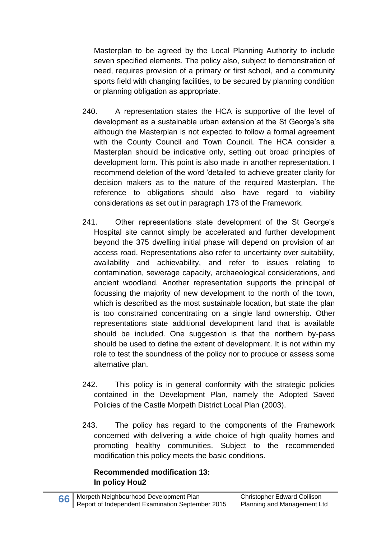Masterplan to be agreed by the Local Planning Authority to include seven specified elements. The policy also, subject to demonstration of need, requires provision of a primary or first school, and a community sports field with changing facilities, to be secured by planning condition or planning obligation as appropriate.

- 240. A representation states the HCA is supportive of the level of development as a sustainable urban extension at the St George's site although the Masterplan is not expected to follow a formal agreement with the County Council and Town Council. The HCA consider a Masterplan should be indicative only, setting out broad principles of development form. This point is also made in another representation. I recommend deletion of the word 'detailed' to achieve greater clarity for decision makers as to the nature of the required Masterplan. The reference to obligations should also have regard to viability considerations as set out in paragraph 173 of the Framework.
- 241. Other representations state development of the St George's Hospital site cannot simply be accelerated and further development beyond the 375 dwelling initial phase will depend on provision of an access road. Representations also refer to uncertainty over suitability, availability and achievability, and refer to issues relating to contamination, sewerage capacity, archaeological considerations, and ancient woodland. Another representation supports the principal of focussing the majority of new development to the north of the town, which is described as the most sustainable location, but state the plan is too constrained concentrating on a single land ownership. Other representations state additional development land that is available should be included. One suggestion is that the northern by-pass should be used to define the extent of development. It is not within my role to test the soundness of the policy nor to produce or assess some alternative plan.
- 242. This policy is in general conformity with the strategic policies contained in the Development Plan, namely the Adopted Saved Policies of the Castle Morpeth District Local Plan (2003).
- 243. The policy has regard to the components of the Framework concerned with delivering a wide choice of high quality homes and promoting healthy communities. Subject to the recommended modification this policy meets the basic conditions.

#### **Recommended modification 13: In policy Hou2**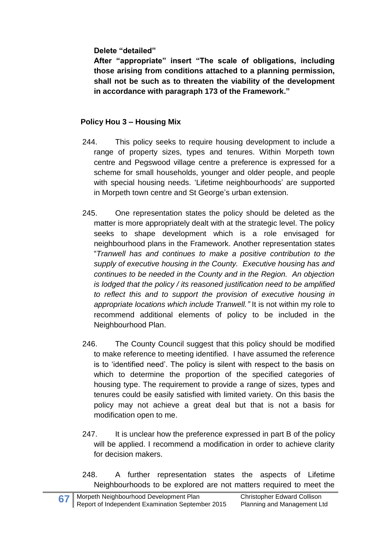**Delete "detailed"**

**After "appropriate" insert "The scale of obligations, including those arising from conditions attached to a planning permission, shall not be such as to threaten the viability of the development in accordance with paragraph 173 of the Framework."**

### **Policy Hou 3 – Housing Mix**

- 244. This policy seeks to require housing development to include a range of property sizes, types and tenures. Within Morpeth town centre and Pegswood village centre a preference is expressed for a scheme for small households, younger and older people, and people with special housing needs. 'Lifetime neighbourhoods' are supported in Morpeth town centre and St George's urban extension.
- 245. One representation states the policy should be deleted as the matter is more appropriately dealt with at the strategic level. The policy seeks to shape development which is a role envisaged for neighbourhood plans in the Framework. Another representation states "*Tranwell has and continues to make a positive contribution to the supply of executive housing in the County. Executive housing has and continues to be needed in the County and in the Region. An objection is lodged that the policy / its reasoned justification need to be amplified to reflect this and to support the provision of executive housing in appropriate locations which include Tranwell."* It is not within my role to recommend additional elements of policy to be included in the Neighbourhood Plan.
- 246. The County Council suggest that this policy should be modified to make reference to meeting identified. I have assumed the reference is to 'identified need'. The policy is silent with respect to the basis on which to determine the proportion of the specified categories of housing type. The requirement to provide a range of sizes, types and tenures could be easily satisfied with limited variety. On this basis the policy may not achieve a great deal but that is not a basis for modification open to me.
- 247. It is unclear how the preference expressed in part B of the policy will be applied. I recommend a modification in order to achieve clarity for decision makers.
- 248. A further representation states the aspects of Lifetime Neighbourhoods to be explored are not matters required to meet the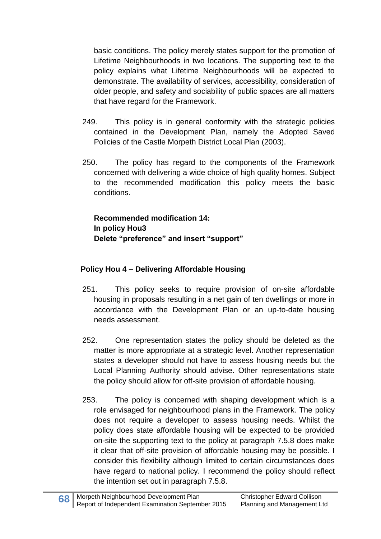basic conditions. The policy merely states support for the promotion of Lifetime Neighbourhoods in two locations. The supporting text to the policy explains what Lifetime Neighbourhoods will be expected to demonstrate. The availability of services, accessibility, consideration of older people, and safety and sociability of public spaces are all matters that have regard for the Framework.

- 249. This policy is in general conformity with the strategic policies contained in the Development Plan, namely the Adopted Saved Policies of the Castle Morpeth District Local Plan (2003).
- 250. The policy has regard to the components of the Framework concerned with delivering a wide choice of high quality homes. Subject to the recommended modification this policy meets the basic conditions.

**Recommended modification 14: In policy Hou3 Delete "preference" and insert "support"**

### **Policy Hou 4 – Delivering Affordable Housing**

- 251. This policy seeks to require provision of on-site affordable housing in proposals resulting in a net gain of ten dwellings or more in accordance with the Development Plan or an up-to-date housing needs assessment.
- 252. One representation states the policy should be deleted as the matter is more appropriate at a strategic level. Another representation states a developer should not have to assess housing needs but the Local Planning Authority should advise. Other representations state the policy should allow for off-site provision of affordable housing.
- 253. The policy is concerned with shaping development which is a role envisaged for neighbourhood plans in the Framework. The policy does not require a developer to assess housing needs. Whilst the policy does state affordable housing will be expected to be provided on-site the supporting text to the policy at paragraph 7.5.8 does make it clear that off-site provision of affordable housing may be possible. I consider this flexibility although limited to certain circumstances does have regard to national policy. I recommend the policy should reflect the intention set out in paragraph 7.5.8.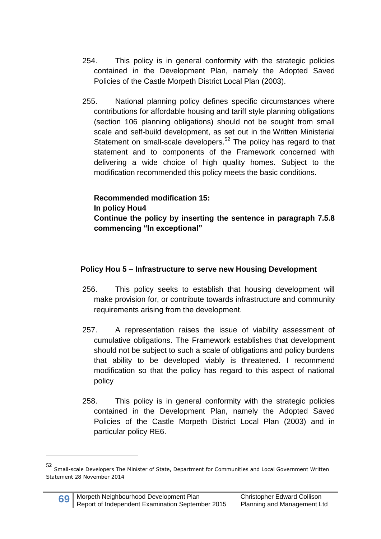- 254. This policy is in general conformity with the strategic policies contained in the Development Plan, namely the Adopted Saved Policies of the Castle Morpeth District Local Plan (2003).
- 255. National planning policy defines specific circumstances where contributions for affordable housing and tariff style planning obligations (section 106 planning obligations) should not be sought from small scale and self-build development, as set out in the Written Ministerial Statement on small-scale developers.<sup>52</sup> The policy has regard to that statement and to components of the Framework concerned with delivering a wide choice of high quality homes. Subject to the modification recommended this policy meets the basic conditions.

**Recommended modification 15: In policy Hou4 Continue the policy by inserting the sentence in paragraph 7.5.8 commencing "In exceptional"**

### **Policy Hou 5 – Infrastructure to serve new Housing Development**

- 256. This policy seeks to establish that housing development will make provision for, or contribute towards infrastructure and community requirements arising from the development.
- 257. A representation raises the issue of viability assessment of cumulative obligations. The Framework establishes that development should not be subject to such a scale of obligations and policy burdens that ability to be developed viably is threatened. I recommend modification so that the policy has regard to this aspect of national policy
- 258. This policy is in general conformity with the strategic policies contained in the Development Plan, namely the Adopted Saved Policies of the Castle Morpeth District Local Plan (2003) and in particular policy RE6.

**.** 

**<sup>52</sup>** Small-scale Developers The Minister of State, Department for Communities and Local Government Written Statement 28 November 2014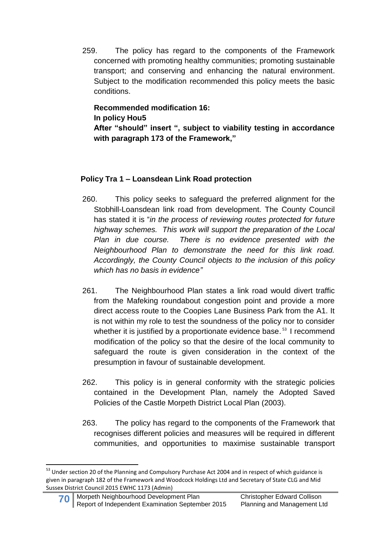259. The policy has regard to the components of the Framework concerned with promoting healthy communities; promoting sustainable transport; and conserving and enhancing the natural environment. Subject to the modification recommended this policy meets the basic conditions.

# **Recommended modification 16: In policy Hou5**

**After "should" insert ", subject to viability testing in accordance with paragraph 173 of the Framework,"**

## **Policy Tra 1 – Loansdean Link Road protection**

- 260. This policy seeks to safeguard the preferred alignment for the Stobhill-Loansdean link road from development. The County Council has stated it is "*in the process of reviewing routes protected for future highway schemes. This work will support the preparation of the Local Plan in due course. There is no evidence presented with the Neighbourhood Plan to demonstrate the need for this link road. Accordingly, the County Council objects to the inclusion of this policy which has no basis in evidence"*
- 261. The Neighbourhood Plan states a link road would divert traffic from the Mafeking roundabout congestion point and provide a more direct access route to the Coopies Lane Business Park from the A1. It is not within my role to test the soundness of the policy nor to consider whether it is justified by a proportionate evidence base.<sup>53</sup> I recommend modification of the policy so that the desire of the local community to safeguard the route is given consideration in the context of the presumption in favour of sustainable development.
- 262. This policy is in general conformity with the strategic policies contained in the Development Plan, namely the Adopted Saved Policies of the Castle Morpeth District Local Plan (2003).
- 263. The policy has regard to the components of the Framework that recognises different policies and measures will be required in different communities, and opportunities to maximise sustainable transport

**<sup>.</sup>** <sup>53</sup> Under section 20 of the Planning and Compulsory Purchase Act 2004 and in respect of which guidance is given in paragraph 182 of the Framework and Woodcock Holdings Ltd and Secretary of State CLG and Mid Sussex District Council 2015 EWHC 1173 (Admin)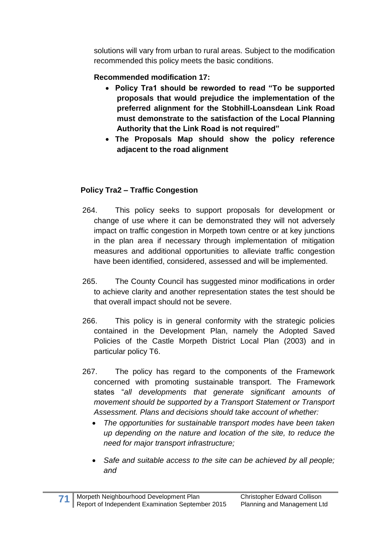solutions will vary from urban to rural areas. Subject to the modification recommended this policy meets the basic conditions.

## **Recommended modification 17:**

- **Policy Tra1 should be reworded to read "To be supported proposals that would prejudice the implementation of the preferred alignment for the Stobhill-Loansdean Link Road must demonstrate to the satisfaction of the Local Planning Authority that the Link Road is not required"**
- **The Proposals Map should show the policy reference adjacent to the road alignment**

## **Policy Tra2 – Traffic Congestion**

- 264. This policy seeks to support proposals for development or change of use where it can be demonstrated they will not adversely impact on traffic congestion in Morpeth town centre or at key junctions in the plan area if necessary through implementation of mitigation measures and additional opportunities to alleviate traffic congestion have been identified, considered, assessed and will be implemented.
- 265. The County Council has suggested minor modifications in order to achieve clarity and another representation states the test should be that overall impact should not be severe.
- 266. This policy is in general conformity with the strategic policies contained in the Development Plan, namely the Adopted Saved Policies of the Castle Morpeth District Local Plan (2003) and in particular policy T6.
- 267. The policy has regard to the components of the Framework concerned with promoting sustainable transport. The Framework states "*all developments that generate significant amounts of movement should be supported by a Transport Statement or Transport Assessment. Plans and decisions should take account of whether:*
	- *The opportunities for sustainable transport modes have been taken up depending on the nature and location of the site, to reduce the need for major transport infrastructure;*
	- *Safe and suitable access to the site can be achieved by all people; and*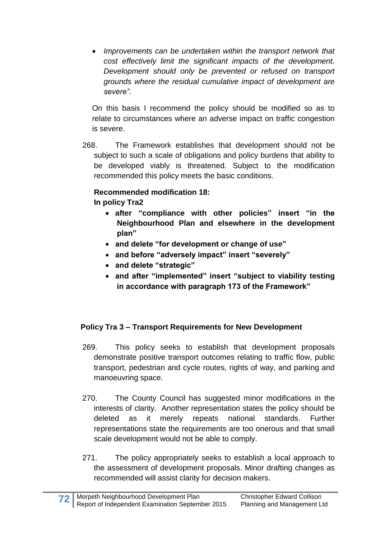*Improvements can be undertaken within the transport network that cost effectively limit the significant impacts of the development. Development should only be prevented or refused on transport grounds where the residual cumulative impact of development are severe".*

On this basis I recommend the policy should be modified so as to relate to circumstances where an adverse impact on traffic congestion is severe.

268. The Framework establishes that development should not be subject to such a scale of obligations and policy burdens that ability to be developed viably is threatened. Subject to the modification recommended this policy meets the basic conditions.

# **Recommended modification 18:**

### **In policy Tra2**

- **after "compliance with other policies" insert "in the Neighbourhood Plan and elsewhere in the development plan"**
- **and delete "for development or change of use"**
- **and before "adversely impact" insert "severely"**
- **and delete "strategic"**
- **and after "implemented" insert "subject to viability testing in accordance with paragraph 173 of the Framework"**

# **Policy Tra 3 – Transport Requirements for New Development**

- 269. This policy seeks to establish that development proposals demonstrate positive transport outcomes relating to traffic flow, public transport, pedestrian and cycle routes, rights of way, and parking and manoeuvring space.
- 270. The County Council has suggested minor modifications in the interests of clarity. Another representation states the policy should be deleted as it merely repeats national standards. Further representations state the requirements are too onerous and that small scale development would not be able to comply.
- 271. The policy appropriately seeks to establish a local approach to the assessment of development proposals. Minor drafting changes as recommended will assist clarity for decision makers.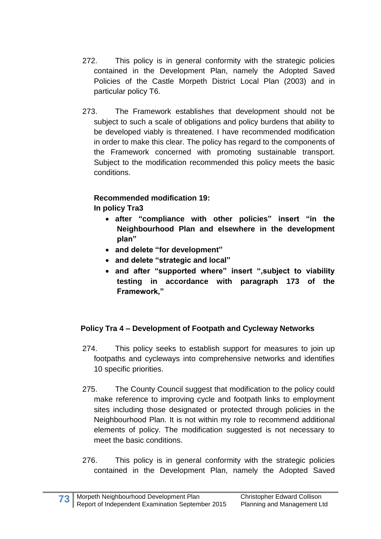- 272. This policy is in general conformity with the strategic policies contained in the Development Plan, namely the Adopted Saved Policies of the Castle Morpeth District Local Plan (2003) and in particular policy T6.
- 273. The Framework establishes that development should not be subject to such a scale of obligations and policy burdens that ability to be developed viably is threatened. I have recommended modification in order to make this clear. The policy has regard to the components of the Framework concerned with promoting sustainable transport. Subject to the modification recommended this policy meets the basic conditions.

### **Recommended modification 19:**

**In policy Tra3**

- **after "compliance with other policies" insert "in the Neighbourhood Plan and elsewhere in the development plan"**
- **and delete "for development"**
- **and delete "strategic and local"**
- **and after "supported where" insert ",subject to viability testing in accordance with paragraph 173 of the Framework,"**

### **Policy Tra 4 – Development of Footpath and Cycleway Networks**

- 274. This policy seeks to establish support for measures to join up footpaths and cycleways into comprehensive networks and identifies 10 specific priorities.
- 275. The County Council suggest that modification to the policy could make reference to improving cycle and footpath links to employment sites including those designated or protected through policies in the Neighbourhood Plan. It is not within my role to recommend additional elements of policy. The modification suggested is not necessary to meet the basic conditions.
- 276. This policy is in general conformity with the strategic policies contained in the Development Plan, namely the Adopted Saved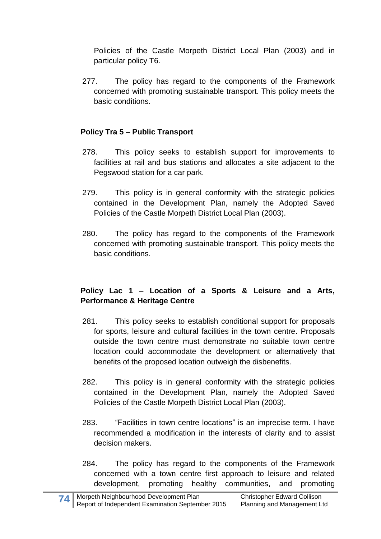Policies of the Castle Morpeth District Local Plan (2003) and in particular policy T6.

277. The policy has regard to the components of the Framework concerned with promoting sustainable transport. This policy meets the basic conditions.

## **Policy Tra 5 – Public Transport**

- 278. This policy seeks to establish support for improvements to facilities at rail and bus stations and allocates a site adjacent to the Pegswood station for a car park.
- 279. This policy is in general conformity with the strategic policies contained in the Development Plan, namely the Adopted Saved Policies of the Castle Morpeth District Local Plan (2003).
- 280. The policy has regard to the components of the Framework concerned with promoting sustainable transport. This policy meets the basic conditions.

### **Policy Lac 1 – Location of a Sports & Leisure and a Arts, Performance & Heritage Centre**

- 281. This policy seeks to establish conditional support for proposals for sports, leisure and cultural facilities in the town centre. Proposals outside the town centre must demonstrate no suitable town centre location could accommodate the development or alternatively that benefits of the proposed location outweigh the disbenefits.
- 282. This policy is in general conformity with the strategic policies contained in the Development Plan, namely the Adopted Saved Policies of the Castle Morpeth District Local Plan (2003).
- 283. "Facilities in town centre locations" is an imprecise term. I have recommended a modification in the interests of clarity and to assist decision makers.
- 284. The policy has regard to the components of the Framework concerned with a town centre first approach to leisure and related development, promoting healthy communities, and promoting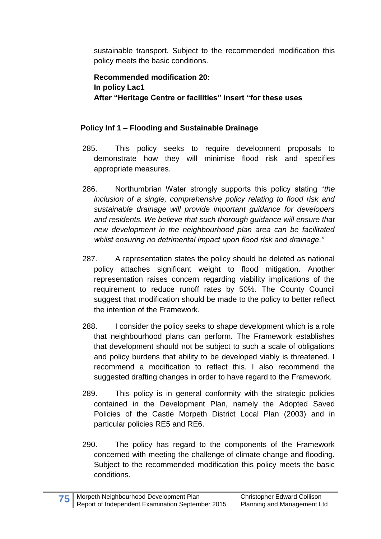sustainable transport. Subject to the recommended modification this policy meets the basic conditions.

**Recommended modification 20: In policy Lac1 After "Heritage Centre or facilities" insert "for these uses**

## **Policy Inf 1 – Flooding and Sustainable Drainage**

- 285. This policy seeks to require development proposals to demonstrate how they will minimise flood risk and specifies appropriate measures.
- 286. Northumbrian Water strongly supports this policy stating "*the inclusion of a single, comprehensive policy relating to flood risk and sustainable drainage will provide important guidance for developers and residents. We believe that such thorough guidance will ensure that new development in the neighbourhood plan area can be facilitated whilst ensuring no detrimental impact upon flood risk and drainage."*
- 287. A representation states the policy should be deleted as national policy attaches significant weight to flood mitigation. Another representation raises concern regarding viability implications of the requirement to reduce runoff rates by 50%. The County Council suggest that modification should be made to the policy to better reflect the intention of the Framework.
- 288. I consider the policy seeks to shape development which is a role that neighbourhood plans can perform. The Framework establishes that development should not be subject to such a scale of obligations and policy burdens that ability to be developed viably is threatened. I recommend a modification to reflect this. I also recommend the suggested drafting changes in order to have regard to the Framework.
- 289. This policy is in general conformity with the strategic policies contained in the Development Plan, namely the Adopted Saved Policies of the Castle Morpeth District Local Plan (2003) and in particular policies RE5 and RE6.
- 290. The policy has regard to the components of the Framework concerned with meeting the challenge of climate change and flooding. Subject to the recommended modification this policy meets the basic conditions.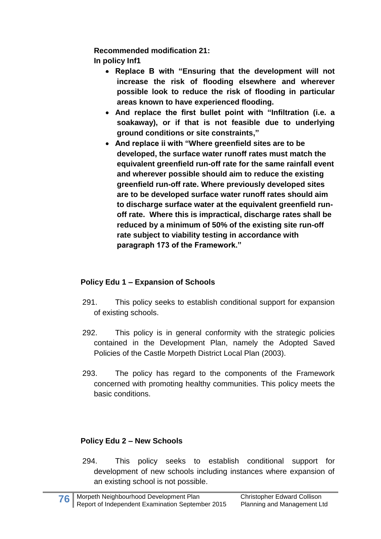**Recommended modification 21:**

**In policy Inf1**

- **Replace B with "Ensuring that the development will not increase the risk of flooding elsewhere and wherever possible look to reduce the risk of flooding in particular areas known to have experienced flooding.**
- **And replace the first bullet point with "Infiltration (i.e. a soakaway), or if that is not feasible due to underlying ground conditions or site constraints,"**
- **And replace ii with "Where greenfield sites are to be developed, the surface water runoff rates must match the equivalent greenfield run-off rate for the same rainfall event and wherever possible should aim to reduce the existing greenfield run-off rate. Where previously developed sites are to be developed surface water runoff rates should aim to discharge surface water at the equivalent greenfield runoff rate. Where this is impractical, discharge rates shall be reduced by a minimum of 50% of the existing site run-off rate subject to viability testing in accordance with paragraph 173 of the Framework."**

# **Policy Edu 1 – Expansion of Schools**

- 291. This policy seeks to establish conditional support for expansion of existing schools.
- 292. This policy is in general conformity with the strategic policies contained in the Development Plan, namely the Adopted Saved Policies of the Castle Morpeth District Local Plan (2003).
- 293. The policy has regard to the components of the Framework concerned with promoting healthy communities. This policy meets the basic conditions.

# **Policy Edu 2 – New Schools**

294. This policy seeks to establish conditional support for development of new schools including instances where expansion of an existing school is not possible.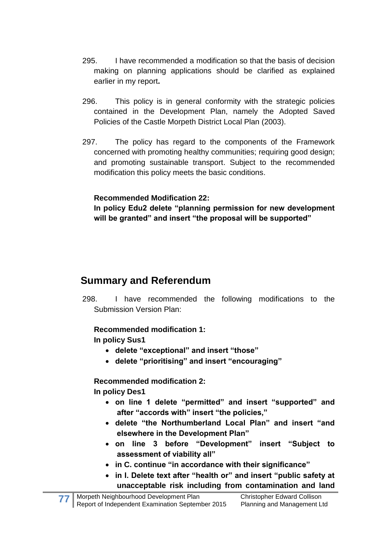- 295. I have recommended a modification so that the basis of decision making on planning applications should be clarified as explained earlier in my report**.**
- 296. This policy is in general conformity with the strategic policies contained in the Development Plan, namely the Adopted Saved Policies of the Castle Morpeth District Local Plan (2003).
- 297. The policy has regard to the components of the Framework concerned with promoting healthy communities; requiring good design; and promoting sustainable transport. Subject to the recommended modification this policy meets the basic conditions.

### **Recommended Modification 22:**

**In policy Edu2 delete "planning permission for new development will be granted" and insert "the proposal will be supported"**

# **Summary and Referendum**

298. I have recommended the following modifications to the Submission Version Plan:

## **Recommended modification 1:**

**In policy Sus1** 

- **delete "exceptional" and insert "those"**
- **delete "prioritising" and insert "encouraging"**

**Recommended modification 2:**

**In policy Des1** 

- **on line 1 delete "permitted" and insert "supported" and after "accords with" insert "the policies,"**
- **delete "the Northumberland Local Plan" and insert "and elsewhere in the Development Plan"**
- **on line 3 before "Development" insert "Subject to assessment of viability all"**
- **in C. continue "in accordance with their significance"**
- **in I. Delete text after "health or" and insert "public safety at unacceptable risk including from contamination and land**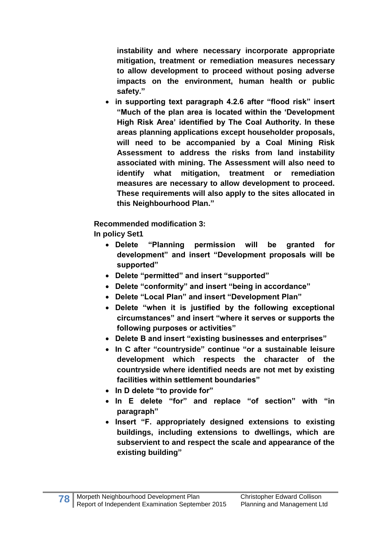**instability and where necessary incorporate appropriate mitigation, treatment or remediation measures necessary to allow development to proceed without posing adverse impacts on the environment, human health or public safety."**

 **in supporting text paragraph 4.2.6 after "flood risk" insert "Much of the plan area is located within the 'Development High Risk Area' identified by The Coal Authority. In these areas planning applications except householder proposals, will need to be accompanied by a Coal Mining Risk Assessment to address the risks from land instability associated with mining. The Assessment will also need to identify what mitigation, treatment or remediation measures are necessary to allow development to proceed. These requirements will also apply to the sites allocated in this Neighbourhood Plan."**

**Recommended modification 3:**

**In policy Set1**

- **Delete "Planning permission will be granted for development" and insert "Development proposals will be supported"**
- **Delete "permitted" and insert "supported"**
- **Delete "conformity" and insert "being in accordance"**
- **Delete "Local Plan" and insert "Development Plan"**
- **Delete "when it is justified by the following exceptional circumstances" and insert "where it serves or supports the following purposes or activities"**
- **Delete B and insert "existing businesses and enterprises"**
- **In C after "countryside" continue "or a sustainable leisure development which respects the character of the countryside where identified needs are not met by existing facilities within settlement boundaries"**
- **In D delete "to provide for"**
- **In E delete "for" and replace "of section" with "in paragraph"**
- **Insert "F. appropriately designed extensions to existing buildings, including extensions to dwellings, which are subservient to and respect the scale and appearance of the existing building"**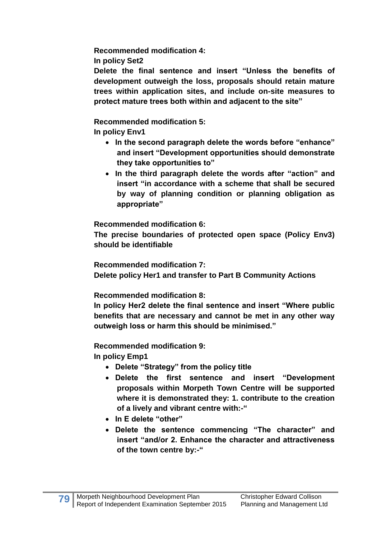**Recommended modification 4:**

**In policy Set2**

**Delete the final sentence and insert "Unless the benefits of development outweigh the loss, proposals should retain mature trees within application sites, and include on-site measures to protect mature trees both within and adjacent to the site"** 

**Recommended modification 5: In policy Env1**

- **In the second paragraph delete the words before "enhance" and insert "Development opportunities should demonstrate they take opportunities to"**
- **In the third paragraph delete the words after "action" and insert "in accordance with a scheme that shall be secured by way of planning condition or planning obligation as appropriate"**

**Recommended modification 6:**

**The precise boundaries of protected open space (Policy Env3) should be identifiable** 

**Recommended modification 7:**

**Delete policy Her1 and transfer to Part B Community Actions**

**Recommended modification 8:**

**In policy Her2 delete the final sentence and insert "Where public benefits that are necessary and cannot be met in any other way outweigh loss or harm this should be minimised."**

**Recommended modification 9:**

**In policy Emp1**

- **Delete "Strategy" from the policy title**
- **Delete the first sentence and insert "Development proposals within Morpeth Town Centre will be supported where it is demonstrated they: 1. contribute to the creation of a lively and vibrant centre with:-"**
- **In E delete "other"**
- **Delete the sentence commencing "The character" and insert "and/or 2. Enhance the character and attractiveness of the town centre by:-"**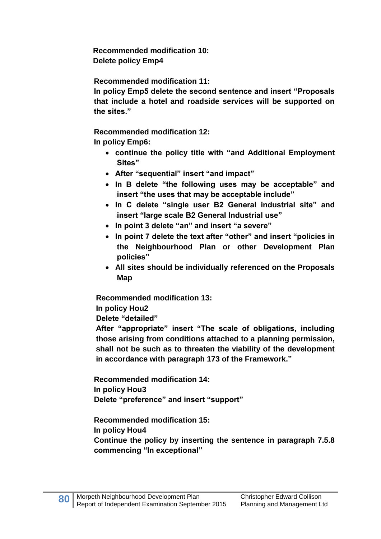**Recommended modification 10: Delete policy Emp4**

**Recommended modification 11:**

**In policy Emp5 delete the second sentence and insert "Proposals that include a hotel and roadside services will be supported on the sites."**

**Recommended modification 12: In policy Emp6:** 

- **continue the policy title with "and Additional Employment Sites"**
- **After "sequential" insert "and impact"**
- **In B delete "the following uses may be acceptable" and insert "the uses that may be acceptable include"**
- **In C delete "single user B2 General industrial site" and insert "large scale B2 General Industrial use"**
- **In point 3 delete "an" and insert "a severe"**
- **In point 7 delete the text after "other" and insert "policies in the Neighbourhood Plan or other Development Plan policies"**
- **All sites should be individually referenced on the Proposals Map**

**Recommended modification 13:**

**In policy Hou2**

**Delete "detailed"**

**After "appropriate" insert "The scale of obligations, including those arising from conditions attached to a planning permission, shall not be such as to threaten the viability of the development in accordance with paragraph 173 of the Framework."**

**Recommended modification 14: In policy Hou3 Delete "preference" and insert "support"**

**Recommended modification 15: In policy Hou4 Continue the policy by inserting the sentence in paragraph 7.5.8 commencing "In exceptional"**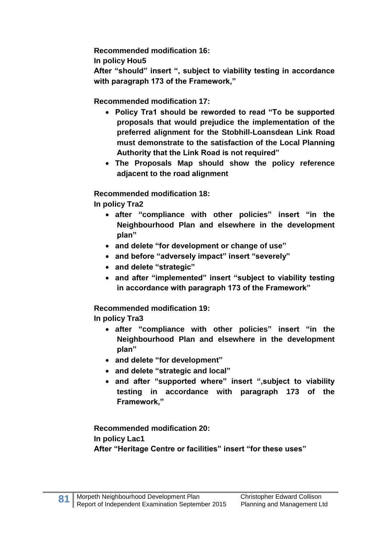**Recommended modification 16:**

**In policy Hou5**

**After "should" insert ", subject to viability testing in accordance with paragraph 173 of the Framework,"**

**Recommended modification 17:**

- **Policy Tra1 should be reworded to read "To be supported proposals that would prejudice the implementation of the preferred alignment for the Stobhill-Loansdean Link Road must demonstrate to the satisfaction of the Local Planning Authority that the Link Road is not required"**
- **The Proposals Map should show the policy reference adjacent to the road alignment**

**Recommended modification 18:**

**In policy Tra2** 

- **after "compliance with other policies" insert "in the Neighbourhood Plan and elsewhere in the development plan"**
- **and delete "for development or change of use"**
- **and before "adversely impact" insert "severely"**
- **and delete "strategic"**
- **and after "implemented" insert "subject to viability testing in accordance with paragraph 173 of the Framework"**

**Recommended modification 19:**

**In policy Tra3**

- **after "compliance with other policies" insert "in the Neighbourhood Plan and elsewhere in the development plan"**
- **and delete "for development"**
- **and delete "strategic and local"**
- **and after "supported where" insert ",subject to viability testing in accordance with paragraph 173 of the Framework,"**

**Recommended modification 20: In policy Lac1 After "Heritage Centre or facilities" insert "for these uses"**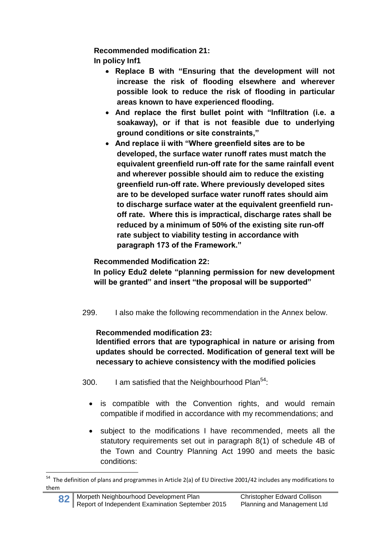**Recommended modification 21:**

**In policy Inf1**

- **Replace B with "Ensuring that the development will not increase the risk of flooding elsewhere and wherever possible look to reduce the risk of flooding in particular areas known to have experienced flooding.**
- **And replace the first bullet point with "Infiltration (i.e. a soakaway), or if that is not feasible due to underlying ground conditions or site constraints,"**
- **And replace ii with "Where greenfield sites are to be developed, the surface water runoff rates must match the equivalent greenfield run-off rate for the same rainfall event and wherever possible should aim to reduce the existing greenfield run-off rate. Where previously developed sites are to be developed surface water runoff rates should aim to discharge surface water at the equivalent greenfield runoff rate. Where this is impractical, discharge rates shall be reduced by a minimum of 50% of the existing site run-off rate subject to viability testing in accordance with paragraph 173 of the Framework."**

# **Recommended Modification 22:**

**In policy Edu2 delete "planning permission for new development will be granted" and insert "the proposal will be supported"**

299. I also make the following recommendation in the Annex below.

## **Recommended modification 23:**

**Identified errors that are typographical in nature or arising from updates should be corrected. Modification of general text will be necessary to achieve consistency with the modified policies**

300. I am satisfied that the Neighbourhood Plan<sup>54</sup>:

- is compatible with the Convention rights, and would remain compatible if modified in accordance with my recommendations; and
- subject to the modifications I have recommended, meets all the statutory requirements set out in paragraph 8(1) of schedule 4B of the Town and Country Planning Act 1990 and meets the basic conditions:

**<sup>.</sup>** <sup>54</sup> The definition of plans and programmes in Article 2(a) of EU Directive 2001/42 includes any modifications to them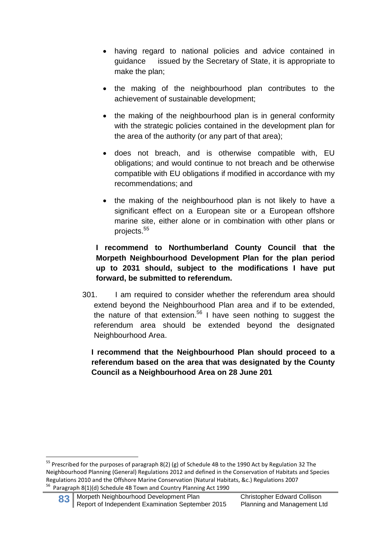- having regard to national policies and advice contained in guidance issued by the Secretary of State, it is appropriate to make the plan;
- the making of the neighbourhood plan contributes to the achievement of sustainable development;
- the making of the neighbourhood plan is in general conformity with the strategic policies contained in the development plan for the area of the authority (or any part of that area);
- does not breach, and is otherwise compatible with, EU obligations; and would continue to not breach and be otherwise compatible with EU obligations if modified in accordance with my recommendations; and
- the making of the neighbourhood plan is not likely to have a significant effect on a European site or a European offshore marine site, either alone or in combination with other plans or projects. 55

### **I recommend to Northumberland County Council that the Morpeth Neighbourhood Development Plan for the plan period up to 2031 should, subject to the modifications I have put forward, be submitted to referendum.**

301. I am required to consider whether the referendum area should extend beyond the Neighbourhood Plan area and if to be extended, the nature of that extension.<sup>56</sup> I have seen nothing to suggest the referendum area should be extended beyond the designated Neighbourhood Area.

### **I recommend that the Neighbourhood Plan should proceed to a referendum based on the area that was designated by the County Council as a Neighbourhood Area on 28 June 201**

83 Morpeth Neighbourhood Development Plan Christopher Edward Collison<br>Report of Independent Examination September 2015 Planning and Management Ltd Report of Independent Examination September 2015

**.** 

<sup>&</sup>lt;sup>55</sup> Prescribed for the purposes of paragraph 8(2) (g) of Schedule 4B to the 1990 Act by Regulation 32 The Neighbourhood Planning (General) Regulations 2012 and defined in the Conservation of Habitats and Species Regulations 2010 and the Offshore Marine Conservation (Natural Habitats, &c.) Regulations 2007 <sup>56</sup> Paragraph 8(1)(d) Schedule 4B Town and Country Planning Act 1990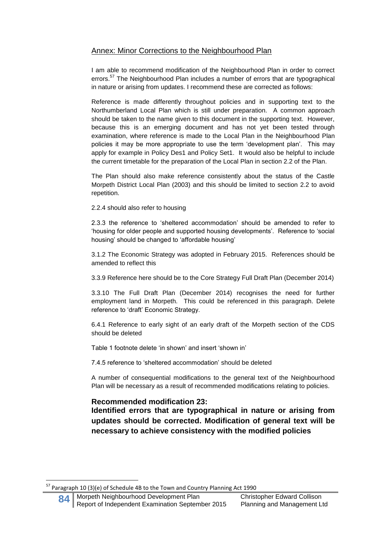### Annex: Minor Corrections to the Neighbourhood Plan

I am able to recommend modification of the Neighbourhood Plan in order to correct errors.<sup>57</sup> The Neighbourhood Plan includes a number of errors that are typographical in nature or arising from updates. I recommend these are corrected as follows:

Reference is made differently throughout policies and in supporting text to the Northumberland Local Plan which is still under preparation. A common approach should be taken to the name given to this document in the supporting text. However, because this is an emerging document and has not yet been tested through examination, where reference is made to the Local Plan in the Neighbourhood Plan policies it may be more appropriate to use the term 'development plan'. This may apply for example in Policy Des1 and Policy Set1. It would also be helpful to include the current timetable for the preparation of the Local Plan in section 2.2 of the Plan.

The Plan should also make reference consistently about the status of the Castle Morpeth District Local Plan (2003) and this should be limited to section 2.2 to avoid repetition.

2.2.4 should also refer to housing

2.3.3 the reference to 'sheltered accommodation' should be amended to refer to 'housing for older people and supported housing developments'. Reference to 'social housing' should be changed to 'affordable housing'

3.1.2 The Economic Strategy was adopted in February 2015. References should be amended to reflect this

3.3.9 Reference here should be to the Core Strategy Full Draft Plan (December 2014)

3.3.10 The Full Draft Plan (December 2014) recognises the need for further employment land in Morpeth. This could be referenced in this paragraph. Delete reference to 'draft' Economic Strategy.

6.4.1 Reference to early sight of an early draft of the Morpeth section of the CDS should be deleted

Table 1 footnote delete 'in shown' and insert 'shown in'

7.4.5 reference to 'sheltered accommodation' should be deleted

A number of consequential modifications to the general text of the Neighbourhood Plan will be necessary as a result of recommended modifications relating to policies.

#### **Recommended modification 23:**

**Identified errors that are typographical in nature or arising from updates should be corrected. Modification of general text will be necessary to achieve consistency with the modified policies**

1

 $57$  Paragraph 10 (3)(e) of Schedule 4B to the Town and Country Planning Act 1990